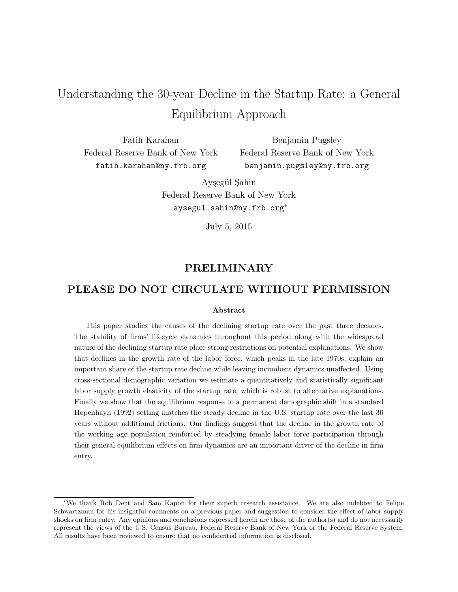# Understanding the 30-year Decline in the Startup Rate: a General Equilibrium Approach

Fatih Karahan Federal Reserve Bank of New York fatih.karahan@ny.frb.org

Benjamin Pugsley Federal Reserve Bank of New York benjamin.pugsley@ny.frb.org

Aysegül Sahin Federal Reserve Bank of New York aysegul.sahin@ny.frb.org<sup>∗</sup>

July 5, 2015

## PRELIMINARY

## PLEASE DO NOT CIRCULATE WITHOUT PERMISSION

#### Abstract

This paper studies the causes of the declining startup rate over the past three decades. The stability of firms' lifecycle dynamics throughout this period along with the widespread nature of the declining startup rate place strong restrictions on potential explanations. We show that declines in the growth rate of the labor force, which peaks in the late 1970s, explain an important share of the startup rate decline while leaving incumbent dynamics unaffected. Using cross-sectional demographic variation we estimate a quantitatively and statistically significant labor supply growth elasticity of the startup rate, which is robust to alternative explanations. Finally we show that the equilibrium response to a permanent demographic shift in a standard Hopenhayn (1992) setting matches the steady decline in the U.S. startup rate over the last 30 years without additional frictions. Our findings suggest that the decline in the growth rate of the working age population reinforced by steadying female labor force participation through their general equilibrium effects on firm dynamics are an important driver of the decline in firm entry.

<sup>∗</sup>We thank Rob Dent and Sam Kapon for their superb research assistance. We are also indebted to Felipe Schwartzman for his insightful comments on a previous paper and suggestion to consider the effect of labor supply shocks on firm entry. Any opinions and conclusions expressed herein are those of the author(s) and do not necessarily represent the views of the U.S. Census Bureau, Federal Reserve Bank of New York or the Federal Reserve System. All results have been reviewed to ensure that no confidential information is disclosed.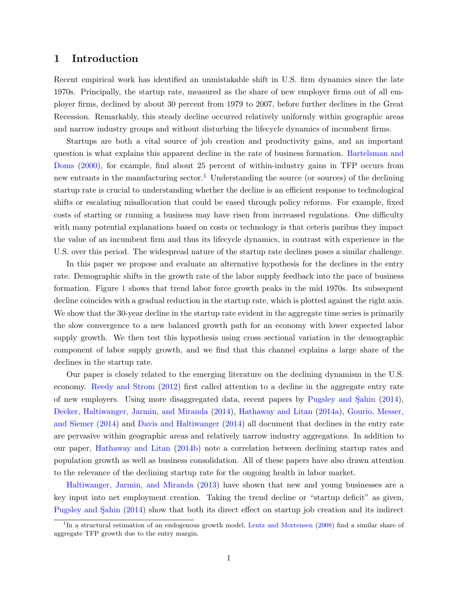### 1 Introduction

Recent empirical work has identified an unmistakable shift in U.S. firm dynamics since the late 1970s. Principally, the startup rate, measured as the share of new employer firms out of all employer firms, declined by about 30 percent from 1979 to 2007, before further declines in the Great Recession. Remarkably, this steady decline occurred relatively uniformly within geographic areas and narrow industry groups and without disturbing the lifecycle dynamics of incumbent firms.

Startups are both a vital source of job creation and productivity gains, and an important question is what explains this apparent decline in the rate of business formation. [Bartelsman and](#page-25-0) [Doms](#page-25-0) [\(2000\)](#page-25-0), for example, find about 25 percent of within-industry gains in TFP occurs from new entrants in the manufacturing sector.<sup>[1](#page-1-0)</sup> Understanding the source (or sources) of the declining startup rate is crucial to understanding whether the decline is an efficient response to technological shifts or escalating misallocation that could be eased through policy reforms. For example, fixed costs of starting or running a business may have risen from increased regulations. One difficulty with many potential explanations based on costs or technology is that ceteris paribus they impact the value of an incumbent firm and thus its lifecycle dynamics, in contrast with experience in the U.S. over this period. The widespread nature of the startup rate declines poses a similar challenge.

In this paper we propose and evaluate an alternative hypothesis for the declines in the entry rate. Demographic shifts in the growth rate of the labor supply feedback into the pace of business formation. Figure [1](#page-2-0) shows that trend labor force growth peaks in the mid 1970s. Its subsequent decline coincides with a gradual reduction in the startup rate, which is plotted against the right axis. We show that the 30-year decline in the startup rate evident in the aggregate time series is primarily the slow convergence to a new balanced growth path for an economy with lower expected labor supply growth. We then test this hypothesis using cross sectional variation in the demographic component of labor supply growth, and we find that this channel explains a large share of the declines in the startup rate.

Our paper is closely related to the emerging literature on the declining dynamism in the U.S. economy. [Reedy and Strom](#page-26-0) [\(2012\)](#page-26-0) first called attention to a decline in the aggregate entry rate of new employers. Using more disaggregated data, recent papers by Pugsley and Sahin  $(2014)$ , [Decker, Haltiwanger, Jarmin, and Miranda](#page-25-1) [\(2014\)](#page-25-1), [Hathaway and Litan](#page-25-2) [\(2014a\)](#page-25-2), [Gourio, Messer,](#page-25-3) [and Siemer](#page-25-3) [\(2014\)](#page-25-3) and [Davis and Haltiwanger](#page-25-4) [\(2014\)](#page-25-4) all document that declines in the entry rate are pervasive within geographic areas and relatively narrow industry aggregations. In addition to our paper, [Hathaway and Litan](#page-25-5) [\(2014b\)](#page-25-5) note a correlation between declining startup rates and population growth as well as business consolidation. All of these papers have also drawn attention to the relevance of the declining startup rate for the ongoing health in labor market.

[Haltiwanger, Jarmin, and Miranda](#page-25-6) [\(2013\)](#page-25-6) have shown that new and young businesses are a key input into net employment creation. Taking the trend decline or "startup deficit" as given, Pugsley and Sahin [\(2014\)](#page-26-1) show that both its direct effect on startup job creation and its indirect

<span id="page-1-0"></span><sup>&</sup>lt;sup>1</sup>In a structural estimation of an endogenous growth model, [Lentz and Mortensen](#page-25-7) [\(2008\)](#page-25-7) find a similar share of aggregate TFP growth due to the entry margin.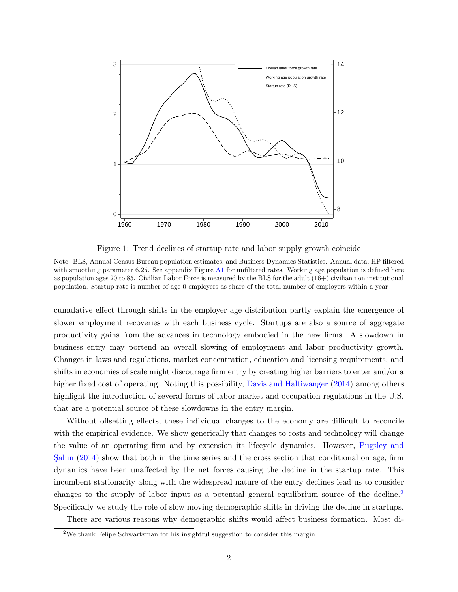<span id="page-2-0"></span>

Figure 1: Trend declines of startup rate and labor supply growth coincide

Note: BLS, Annual Census Bureau population estimates, and Business Dynamics Statistics. Annual data, HP filtered with smoothing parameter 6.25. See appendix Figure [A1](#page-27-0) for unfiltered rates. Working age population is defined here as population ages 20 to 85. Civilian Labor Force is measured by the BLS for the adult (16+) civilian non institutional population. Startup rate is number of age 0 employers as share of the total number of employers within a year.

cumulative effect through shifts in the employer age distribution partly explain the emergence of slower employment recoveries with each business cycle. Startups are also a source of aggregate productivity gains from the advances in technology embodied in the new firms. A slowdown in business entry may portend an overall slowing of employment and labor productivity growth. Changes in laws and regulations, market concentration, education and licensing requirements, and shifts in economies of scale might discourage firm entry by creating higher barriers to enter and/or a higher fixed cost of operating. Noting this possibility, [Davis and Haltiwanger](#page-25-4) [\(2014\)](#page-25-4) among others highlight the introduction of several forms of labor market and occupation regulations in the U.S. that are a potential source of these slowdowns in the entry margin.

Without offsetting effects, these individual changes to the economy are difficult to reconcile with the empirical evidence. We show generically that changes to costs and technology will change the value of an operating firm and by extension its lifecycle dynamics. However, [Pugsley and](#page-26-1) Sahin  $(2014)$  show that both in the time series and the cross section that conditional on age, firm dynamics have been unaffected by the net forces causing the decline in the startup rate. This incumbent stationarity along with the widespread nature of the entry declines lead us to consider changes to the supply of labor input as a potential general equilibrium source of the decline.<sup>[2](#page-2-1)</sup> Specifically we study the role of slow moving demographic shifts in driving the decline in startups.

There are various reasons why demographic shifts would affect business formation. Most di-

<span id="page-2-1"></span><sup>&</sup>lt;sup>2</sup>We thank Felipe Schwartzman for his insightful suggestion to consider this margin.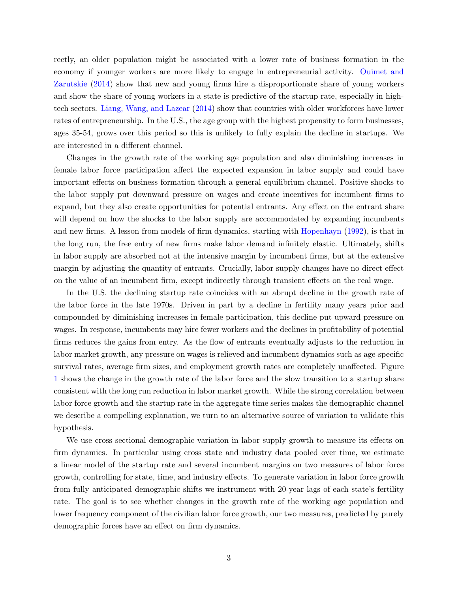rectly, an older population might be associated with a lower rate of business formation in the economy if younger workers are more likely to engage in entrepreneurial activity. [Ouimet and](#page-26-2) [Zarutskie](#page-26-2) [\(2014\)](#page-26-2) show that new and young firms hire a disproportionate share of young workers and show the share of young workers in a state is predictive of the startup rate, especially in hightech sectors. [Liang, Wang, and Lazear](#page-25-8) [\(2014\)](#page-25-8) show that countries with older workforces have lower rates of entrepreneurship. In the U.S., the age group with the highest propensity to form businesses, ages 35-54, grows over this period so this is unlikely to fully explain the decline in startups. We are interested in a different channel.

Changes in the growth rate of the working age population and also diminishing increases in female labor force participation affect the expected expansion in labor supply and could have important effects on business formation through a general equilibrium channel. Positive shocks to the labor supply put downward pressure on wages and create incentives for incumbent firms to expand, but they also create opportunities for potential entrants. Any effect on the entrant share will depend on how the shocks to the labor supply are accommodated by expanding incumbents and new firms. A lesson from models of firm dynamics, starting with [Hopenhayn](#page-25-9) [\(1992\)](#page-25-9), is that in the long run, the free entry of new firms make labor demand infinitely elastic. Ultimately, shifts in labor supply are absorbed not at the intensive margin by incumbent firms, but at the extensive margin by adjusting the quantity of entrants. Crucially, labor supply changes have no direct effect on the value of an incumbent firm, except indirectly through transient effects on the real wage.

In the U.S. the declining startup rate coincides with an abrupt decline in the growth rate of the labor force in the late 1970s. Driven in part by a decline in fertility many years prior and compounded by diminishing increases in female participation, this decline put upward pressure on wages. In response, incumbents may hire fewer workers and the declines in profitability of potential firms reduces the gains from entry. As the flow of entrants eventually adjusts to the reduction in labor market growth, any pressure on wages is relieved and incumbent dynamics such as age-specific survival rates, average firm sizes, and employment growth rates are completely unaffected. Figure [1](#page-2-0) shows the change in the growth rate of the labor force and the slow transition to a startup share consistent with the long run reduction in labor market growth. While the strong correlation between labor force growth and the startup rate in the aggregate time series makes the demographic channel we describe a compelling explanation, we turn to an alternative source of variation to validate this hypothesis.

We use cross sectional demographic variation in labor supply growth to measure its effects on firm dynamics. In particular using cross state and industry data pooled over time, we estimate a linear model of the startup rate and several incumbent margins on two measures of labor force growth, controlling for state, time, and industry effects. To generate variation in labor force growth from fully anticipated demographic shifts we instrument with 20-year lags of each state's fertility rate. The goal is to see whether changes in the growth rate of the working age population and lower frequency component of the civilian labor force growth, our two measures, predicted by purely demographic forces have an effect on firm dynamics.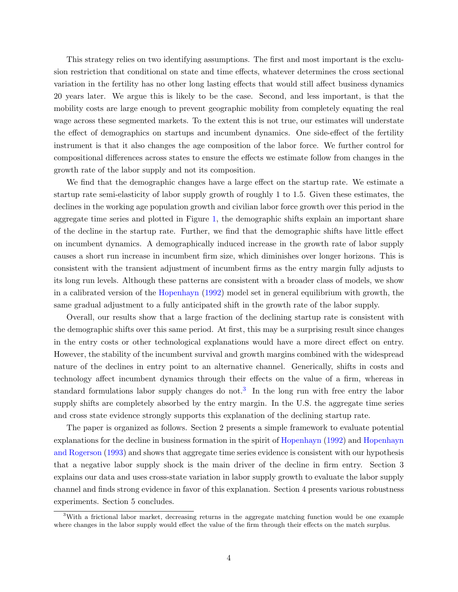This strategy relies on two identifying assumptions. The first and most important is the exclusion restriction that conditional on state and time effects, whatever determines the cross sectional variation in the fertility has no other long lasting effects that would still affect business dynamics 20 years later. We argue this is likely to be the case. Second, and less important, is that the mobility costs are large enough to prevent geographic mobility from completely equating the real wage across these segmented markets. To the extent this is not true, our estimates will understate the effect of demographics on startups and incumbent dynamics. One side-effect of the fertility instrument is that it also changes the age composition of the labor force. We further control for compositional differences across states to ensure the effects we estimate follow from changes in the growth rate of the labor supply and not its composition.

We find that the demographic changes have a large effect on the startup rate. We estimate a startup rate semi-elasticity of labor supply growth of roughly 1 to 1.5. Given these estimates, the declines in the working age population growth and civilian labor force growth over this period in the aggregate time series and plotted in Figure [1,](#page-2-0) the demographic shifts explain an important share of the decline in the startup rate. Further, we find that the demographic shifts have little effect on incumbent dynamics. A demographically induced increase in the growth rate of labor supply causes a short run increase in incumbent firm size, which diminishes over longer horizons. This is consistent with the transient adjustment of incumbent firms as the entry margin fully adjusts to its long run levels. Although these patterns are consistent with a broader class of models, we show in a calibrated version of the [Hopenhayn](#page-25-9) [\(1992\)](#page-25-9) model set in general equilibrium with growth, the same gradual adjustment to a fully anticipated shift in the growth rate of the labor supply.

Overall, our results show that a large fraction of the declining startup rate is consistent with the demographic shifts over this same period. At first, this may be a surprising result since changes in the entry costs or other technological explanations would have a more direct effect on entry. However, the stability of the incumbent survival and growth margins combined with the widespread nature of the declines in entry point to an alternative channel. Generically, shifts in costs and technology affect incumbent dynamics through their effects on the value of a firm, whereas in standard formulations labor supply changes do not.<sup>[3](#page-4-0)</sup> In the long run with free entry the labor supply shifts are completely absorbed by the entry margin. In the U.S. the aggregate time series and cross state evidence strongly supports this explanation of the declining startup rate.

The paper is organized as follows. Section 2 presents a simple framework to evaluate potential explanations for the decline in business formation in the spirit of [Hopenhayn](#page-25-9) [\(1992\)](#page-25-9) and [Hopenhayn](#page-25-10) [and Rogerson](#page-25-10) [\(1993\)](#page-25-10) and shows that aggregate time series evidence is consistent with our hypothesis that a negative labor supply shock is the main driver of the decline in firm entry. Section 3 explains our data and uses cross-state variation in labor supply growth to evaluate the labor supply channel and finds strong evidence in favor of this explanation. Section 4 presents various robustness experiments. Section 5 concludes.

<span id="page-4-0"></span><sup>&</sup>lt;sup>3</sup>With a frictional labor market, decreasing returns in the aggregate matching function would be one example where changes in the labor supply would effect the value of the firm through their effects on the match surplus.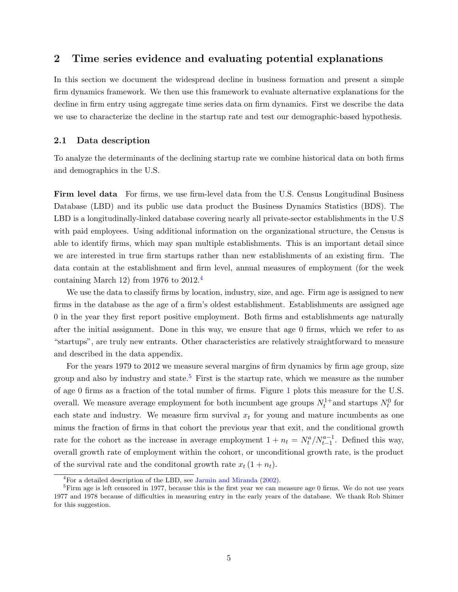### <span id="page-5-3"></span>2 Time series evidence and evaluating potential explanations

In this section we document the widespread decline in business formation and present a simple firm dynamics framework. We then use this framework to evaluate alternative explanations for the decline in firm entry using aggregate time series data on firm dynamics. First we describe the data we use to characterize the decline in the startup rate and test our demographic-based hypothesis.

#### <span id="page-5-2"></span>2.1 Data description

To analyze the determinants of the declining startup rate we combine historical data on both firms and demographics in the U.S.

Firm level data For firms, we use firm-level data from the U.S. Census Longitudinal Business Database (LBD) and its public use data product the Business Dynamics Statistics (BDS). The LBD is a longitudinally-linked database covering nearly all private-sector establishments in the U.S with paid employees. Using additional information on the organizational structure, the Census is able to identify firms, which may span multiple establishments. This is an important detail since we are interested in true firm startups rather than new establishments of an existing firm. The data contain at the establishment and firm level, annual measures of employment (for the week containing March 12) from 1976 to 2012.[4](#page-5-0)

We use the data to classify firms by location, industry, size, and age. Firm age is assigned to new firms in the database as the age of a firm's oldest establishment. Establishments are assigned age 0 in the year they first report positive employment. Both firms and establishments age naturally after the initial assignment. Done in this way, we ensure that age 0 firms, which we refer to as "startups", are truly new entrants. Other characteristics are relatively straightforward to measure and described in the data appendix.

For the years 1979 to 2012 we measure several margins of firm dynamics by firm age group, size group and also by industry and state.<sup>[5](#page-5-1)</sup> First is the startup rate, which we measure as the number of age 0 firms as a fraction of the total number of firms. Figure [1](#page-2-0) plots this measure for the U.S. overall. We measure average employment for both incumbent age groups  $N_t^{1+}$  and startups  $N_t^0$  for each state and industry. We measure firm survival  $x_t$  for young and mature incumbents as one minus the fraction of firms in that cohort the previous year that exit, and the conditional growth rate for the cohort as the increase in average employment  $1 + n_t = N_t^a / N_{t-1}^{a-1}$ . Defined this way, overall growth rate of employment within the cohort, or unconditional growth rate, is the product of the survival rate and the conditional growth rate  $x_t (1 + n_t)$ .

<span id="page-5-1"></span><span id="page-5-0"></span> ${}^{4}$ For a detailed description of the LBD, see [Jarmin and Miranda](#page-25-11) [\(2002\)](#page-25-11).

 ${}^{5}$ Firm age is left censored in 1977, because this is the first year we can measure age 0 firms. We do not use years 1977 and 1978 because of difficulties in measuring entry in the early years of the database. We thank Rob Shimer for this suggestion.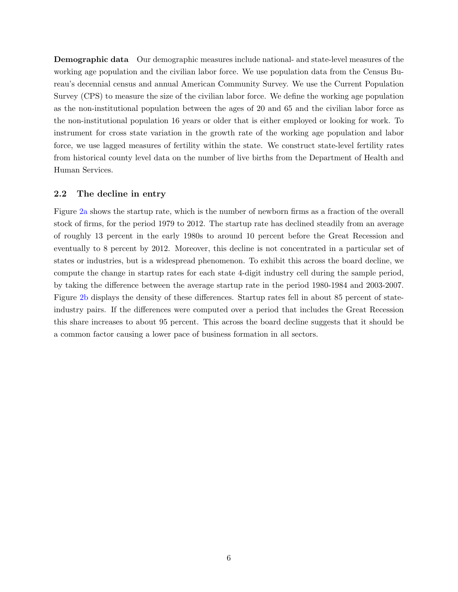Demographic data Our demographic measures include national- and state-level measures of the working age population and the civilian labor force. We use population data from the Census Bureau's decennial census and annual American Community Survey. We use the Current Population Survey (CPS) to measure the size of the civilian labor force. We define the working age population as the non-institutional population between the ages of 20 and 65 and the civilian labor force as the non-institutional population 16 years or older that is either employed or looking for work. To instrument for cross state variation in the growth rate of the working age population and labor force, we use lagged measures of fertility within the state. We construct state-level fertility rates from historical county level data on the number of live births from the Department of Health and Human Services.

#### 2.2 The decline in entry

Figure [2a](#page-7-0) shows the startup rate, which is the number of newborn firms as a fraction of the overall stock of firms, for the period 1979 to 2012. The startup rate has declined steadily from an average of roughly 13 percent in the early 1980s to around 10 percent before the Great Recession and eventually to 8 percent by 2012. Moreover, this decline is not concentrated in a particular set of states or industries, but is a widespread phenomenon. To exhibit this across the board decline, we compute the change in startup rates for each state 4-digit industry cell during the sample period, by taking the difference between the average startup rate in the period 1980-1984 and 2003-2007. Figure [2b](#page-7-1) displays the density of these differences. Startup rates fell in about 85 percent of stateindustry pairs. If the differences were computed over a period that includes the Great Recession this share increases to about 95 percent. This across the board decline suggests that it should be a common factor causing a lower pace of business formation in all sectors.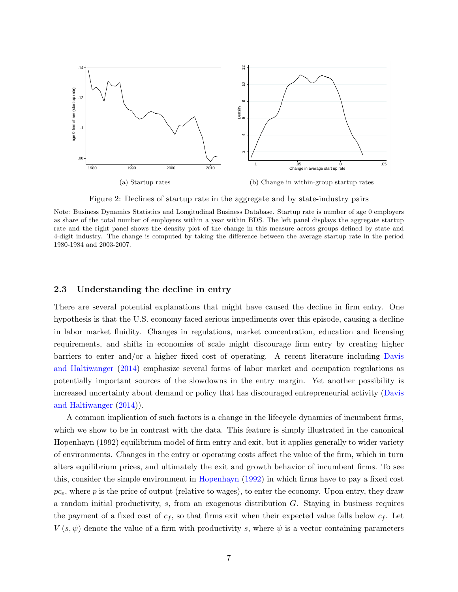<span id="page-7-0"></span>

<span id="page-7-1"></span>Figure 2: Declines of startup rate in the aggregate and by state-industry pairs

Note: Business Dynamics Statistics and Longitudinal Business Database. Startup rate is number of age 0 employers as share of the total number of employers within a year within BDS. The left panel displays the aggregate startup rate and the right panel shows the density plot of the change in this measure across groups defined by state and 4-digit industry. The change is computed by taking the difference between the average startup rate in the period 1980-1984 and 2003-2007.

#### 2.3 Understanding the decline in entry

There are several potential explanations that might have caused the decline in firm entry. One hypothesis is that the U.S. economy faced serious impediments over this episode, causing a decline in labor market fluidity. Changes in regulations, market concentration, education and licensing requirements, and shifts in economies of scale might discourage firm entry by creating higher barriers to enter and/or a higher fixed cost of operating. A recent literature including [Davis](#page-25-4) [and Haltiwanger](#page-25-4) [\(2014\)](#page-25-4) emphasize several forms of labor market and occupation regulations as potentially important sources of the slowdowns in the entry margin. Yet another possibility is increased uncertainty about demand or policy that has discouraged entrepreneurial activity [\(Davis](#page-25-4) [and Haltiwanger](#page-25-4) [\(2014\)](#page-25-4)).

A common implication of such factors is a change in the lifecycle dynamics of incumbent firms, which we show to be in contrast with the data. This feature is simply illustrated in the canonical Hopenhayn (1992) equilibrium model of firm entry and exit, but it applies generally to wider variety of environments. Changes in the entry or operating costs affect the value of the firm, which in turn alters equilibrium prices, and ultimately the exit and growth behavior of incumbent firms. To see this, consider the simple environment in [Hopenhayn](#page-25-9) [\(1992\)](#page-25-9) in which firms have to pay a fixed cost  $pc<sub>e</sub>$ , where p is the price of output (relative to wages), to enter the economy. Upon entry, they draw a random initial productivity,  $s$ , from an exogenous distribution  $G$ . Staying in business requires the payment of a fixed cost of  $c_f$ , so that firms exit when their expected value falls below  $c_f$ . Let  $V(s, \psi)$  denote the value of a firm with productivity s, where  $\psi$  is a vector containing parameters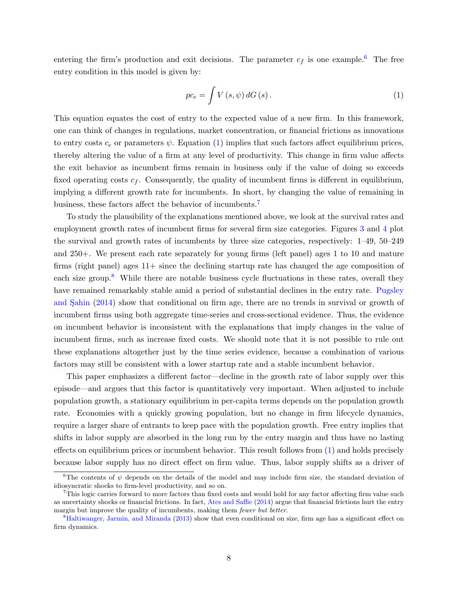entering the firm's production and exit decisions. The parameter  $c_f$  is one example.<sup>[6](#page-8-0)</sup> The free entry condition in this model is given by:

<span id="page-8-1"></span>
$$
pc_e = \int V(s, \psi) dG(s).
$$
 (1)

This equation equates the cost of entry to the expected value of a new firm. In this framework, one can think of changes in regulations, market concentration, or financial frictions as innovations to entry costs  $c_e$  or parameters  $\psi$ . Equation [\(1\)](#page-8-1) implies that such factors affect equilibrium prices, thereby altering the value of a firm at any level of productivity. This change in firm value affects the exit behavior as incumbent firms remain in business only if the value of doing so exceeds fixed operating costs  $c_f$ . Consequently, the quality of incumbent firms is different in equilibrium, implying a different growth rate for incumbents. In short, by changing the value of remaining in business, these factors affect the behavior of incumbents.[7](#page-8-2)

To study the plausibility of the explanations mentioned above, we look at the survival rates and employment growth rates of incumbent firms for several firm size categories. Figures [3](#page-9-0) and [4](#page-9-1) plot the survival and growth rates of incumbents by three size categories, respectively: 1–49, 50–249 and 250+. We present each rate separately for young firms (left panel) ages 1 to 10 and mature firms (right panel) ages  $11+$  since the declining startup rate has changed the age composition of each size group.<sup>[8](#page-8-3)</sup> While there are notable business cycle fluctuations in these rates, overall they have remained remarkably stable amid a period of substantial declines in the entry rate. [Pugsley](#page-26-1) and Sahin [\(2014\)](#page-26-1) show that conditional on firm age, there are no trends in survival or growth of incumbent firms using both aggregate time-series and cross-sectional evidence. Thus, the evidence on incumbent behavior is inconsistent with the explanations that imply changes in the value of incumbent firms, such as increase fixed costs. We should note that it is not possible to rule out these explanations altogether just by the time series evidence, because a combination of various factors may still be consistent with a lower startup rate and a stable incumbent behavior.

This paper emphasizes a different factor—decline in the growth rate of labor supply over this episode—and argues that this factor is quantitatively very important. When adjusted to include population growth, a stationary equilibrium in per-capita terms depends on the population growth rate. Economies with a quickly growing population, but no change in firm lifecycle dynamics, require a larger share of entrants to keep pace with the population growth. Free entry implies that shifts in labor supply are absorbed in the long run by the entry margin and thus have no lasting effects on equilibrium prices or incumbent behavior. This result follows from [\(1\)](#page-8-1) and holds precisely because labor supply has no direct effect on firm value. Thus, labor supply shifts as a driver of

<span id="page-8-0"></span><sup>&</sup>lt;sup>6</sup>The contents of  $\psi$  depends on the details of the model and may include firm size, the standard deviation of idiosyncratic shocks to firm-level productivity, and so on.

<span id="page-8-2"></span><sup>7</sup>This logic carries forward to more factors than fixed costs and would hold for any factor affecting firm value such as uncertainty shocks or financial frictions. In fact, [Ates and Saffie](#page-25-12) [\(2014\)](#page-25-12) argue that financial frictions hurt the entry margin but improve the quality of incumbents, making them fewer but better.

<span id="page-8-3"></span><sup>8</sup>[Haltiwanger, Jarmin, and Miranda](#page-25-6) [\(2013\)](#page-25-6) show that even conditional on size, firm age has a significant effect on firm dynamics.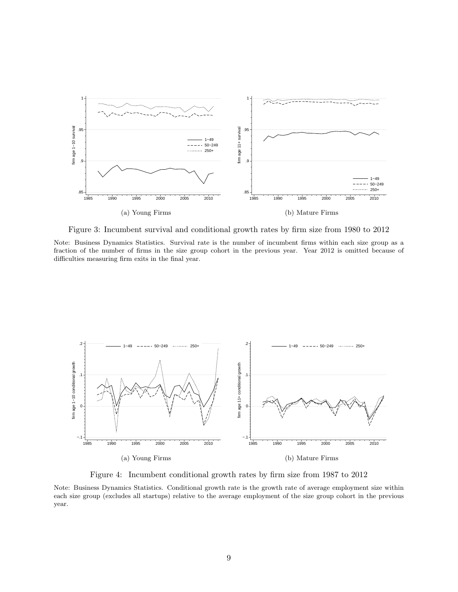<span id="page-9-0"></span>

Figure 3: Incumbent survival and conditional growth rates by firm size from 1980 to 2012

Note: Business Dynamics Statistics. Survival rate is the number of incumbent firms within each size group as a fraction of the number of firms in the size group cohort in the previous year. Year 2012 is omitted because of difficulties measuring firm exits in the final year.

<span id="page-9-1"></span>

Figure 4: Incumbent conditional growth rates by firm size from 1987 to 2012

Note: Business Dynamics Statistics. Conditional growth rate is the growth rate of average employment size within each size group (excludes all startups) relative to the average employment of the size group cohort in the previous year.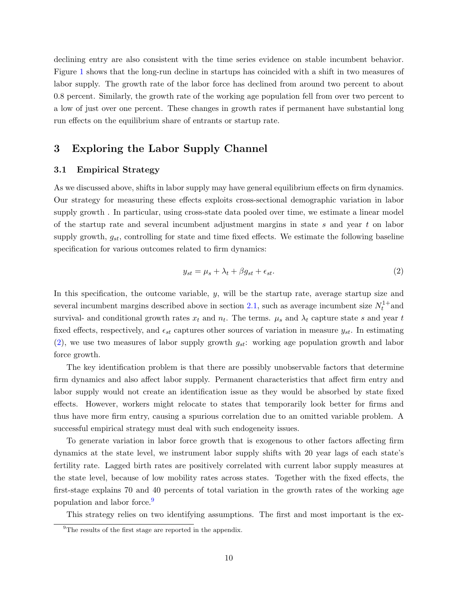declining entry are also consistent with the time series evidence on stable incumbent behavior. Figure [1](#page-2-0) shows that the long-run decline in startups has coincided with a shift in two measures of labor supply. The growth rate of the labor force has declined from around two percent to about 0.8 percent. Similarly, the growth rate of the working age population fell from over two percent to a low of just over one percent. These changes in growth rates if permanent have substantial long run effects on the equilibrium share of entrants or startup rate.

## 3 Exploring the Labor Supply Channel

#### 3.1 Empirical Strategy

As we discussed above, shifts in labor supply may have general equilibrium effects on firm dynamics. Our strategy for measuring these effects exploits cross-sectional demographic variation in labor supply growth . In particular, using cross-state data pooled over time, we estimate a linear model of the startup rate and several incumbent adjustment margins in state s and year t on labor supply growth,  $g_{st}$ , controlling for state and time fixed effects. We estimate the following baseline specification for various outcomes related to firm dynamics:

<span id="page-10-0"></span>
$$
y_{st} = \mu_s + \lambda_t + \beta g_{st} + \epsilon_{st}.\tag{2}
$$

In this specification, the outcome variable, y, will be the startup rate, average startup size and several incumbent margins described above in section [2.1,](#page-5-2) such as average incumbent size  $N_t^{1+}$  and survival- and conditional growth rates  $x_t$  and  $n_t$ . The terms.  $\mu_s$  and  $\lambda_t$  capture state s and year t fixed effects, respectively, and  $\epsilon_{st}$  captures other sources of variation in measure  $y_{st}$ . In estimating  $(2)$ , we use two measures of labor supply growth  $g_{st}$ : working age population growth and labor force growth.

The key identification problem is that there are possibly unobservable factors that determine firm dynamics and also affect labor supply. Permanent characteristics that affect firm entry and labor supply would not create an identification issue as they would be absorbed by state fixed effects. However, workers might relocate to states that temporarily look better for firms and thus have more firm entry, causing a spurious correlation due to an omitted variable problem. A successful empirical strategy must deal with such endogeneity issues.

To generate variation in labor force growth that is exogenous to other factors affecting firm dynamics at the state level, we instrument labor supply shifts with 20 year lags of each state's fertility rate. Lagged birth rates are positively correlated with current labor supply measures at the state level, because of low mobility rates across states. Together with the fixed effects, the first-stage explains 70 and 40 percents of total variation in the growth rates of the working age population and labor force.<sup>[9](#page-10-1)</sup>

This strategy relies on two identifying assumptions. The first and most important is the ex-

<span id="page-10-1"></span><sup>&</sup>lt;sup>9</sup>The results of the first stage are reported in the appendix.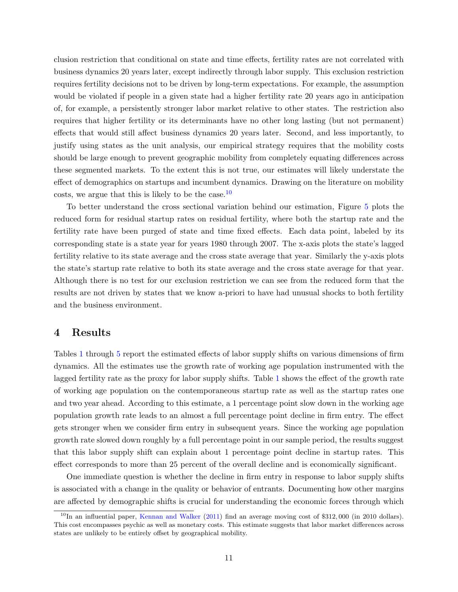clusion restriction that conditional on state and time effects, fertility rates are not correlated with business dynamics 20 years later, except indirectly through labor supply. This exclusion restriction requires fertility decisions not to be driven by long-term expectations. For example, the assumption would be violated if people in a given state had a higher fertility rate 20 years ago in anticipation of, for example, a persistently stronger labor market relative to other states. The restriction also requires that higher fertility or its determinants have no other long lasting (but not permanent) effects that would still affect business dynamics 20 years later. Second, and less importantly, to justify using states as the unit analysis, our empirical strategy requires that the mobility costs should be large enough to prevent geographic mobility from completely equating differences across these segmented markets. To the extent this is not true, our estimates will likely understate the effect of demographics on startups and incumbent dynamics. Drawing on the literature on mobility costs, we argue that this is likely to be the case. $^{10}$  $^{10}$  $^{10}$ 

To better understand the cross sectional variation behind our estimation, Figure [5](#page-12-0) plots the reduced form for residual startup rates on residual fertility, where both the startup rate and the fertility rate have been purged of state and time fixed effects. Each data point, labeled by its corresponding state is a state year for years 1980 through 2007. The x-axis plots the state's lagged fertility relative to its state average and the cross state average that year. Similarly the y-axis plots the state's startup rate relative to both its state average and the cross state average for that year. Although there is no test for our exclusion restriction we can see from the reduced form that the results are not driven by states that we know a-priori to have had unusual shocks to both fertility and the business environment.

## 4 Results

Tables [1](#page-13-0) through [5](#page-15-0) report the estimated effects of labor supply shifts on various dimensions of firm dynamics. All the estimates use the growth rate of working age population instrumented with the lagged fertility rate as the proxy for labor supply shifts. Table [1](#page-13-0) shows the effect of the growth rate of working age population on the contemporaneous startup rate as well as the startup rates one and two year ahead. According to this estimate, a 1 percentage point slow down in the working age population growth rate leads to an almost a full percentage point decline in firm entry. The effect gets stronger when we consider firm entry in subsequent years. Since the working age population growth rate slowed down roughly by a full percentage point in our sample period, the results suggest that this labor supply shift can explain about 1 percentage point decline in startup rates. This effect corresponds to more than 25 percent of the overall decline and is economically significant.

One immediate question is whether the decline in firm entry in response to labor supply shifts is associated with a change in the quality or behavior of entrants. Documenting how other margins are affected by demographic shifts is crucial for understanding the economic forces through which

<span id="page-11-0"></span> $10$ In an influential paper, [Kennan and Walker](#page-25-13) [\(2011\)](#page-25-13) find an average moving cost of \$312,000 (in 2010 dollars). This cost encompasses psychic as well as monetary costs. This estimate suggests that labor market differences across states are unlikely to be entirely offset by geographical mobility.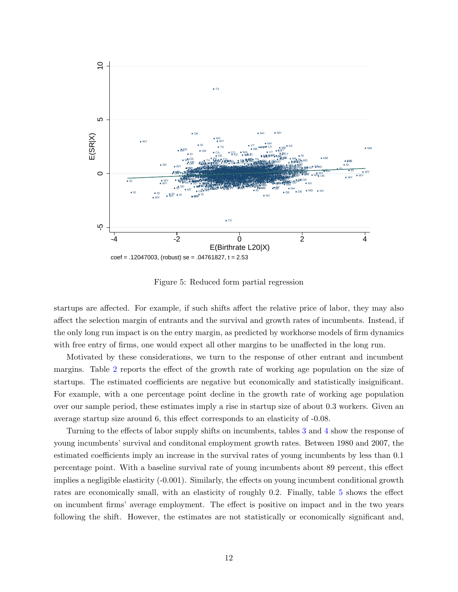<span id="page-12-0"></span>

Figure 5: Reduced form partial regression

startups are affected. For example, if such shifts affect the relative price of labor, they may also affect the selection margin of entrants and the survival and growth rates of incumbents. Instead, if the only long run impact is on the entry margin, as predicted by workhorse models of firm dynamics with free entry of firms, one would expect all other margins to be unaffected in the long run.

Motivated by these considerations, we turn to the response of other entrant and incumbent margins. Table [2](#page-14-0) reports the effect of the growth rate of working age population on the size of startups. The estimated coefficients are negative but economically and statistically insignificant. For example, with a one percentage point decline in the growth rate of working age population over our sample period, these estimates imply a rise in startup size of about 0.3 workers. Given an average startup size around 6, this effect corresponds to an elasticity of -0.08.

Turning to the effects of labor supply shifts on incumbents, tables [3](#page-14-1) and [4](#page-15-1) show the response of young incumbents' survival and conditonal employment growth rates. Between 1980 and 2007, the estimated coefficients imply an increase in the survival rates of young incumbents by less than 0.1 percentage point. With a baseline survival rate of young incumbents about 89 percent, this effect implies a negligible elasticity (-0.001). Similarly, the effects on young incumbent conditional growth rates are economically small, with an elasticity of roughly 0.2. Finally, table [5](#page-15-0) shows the effect on incumbent firms' average employment. The effect is positive on impact and in the two years following the shift. However, the estimates are not statistically or economically significant and,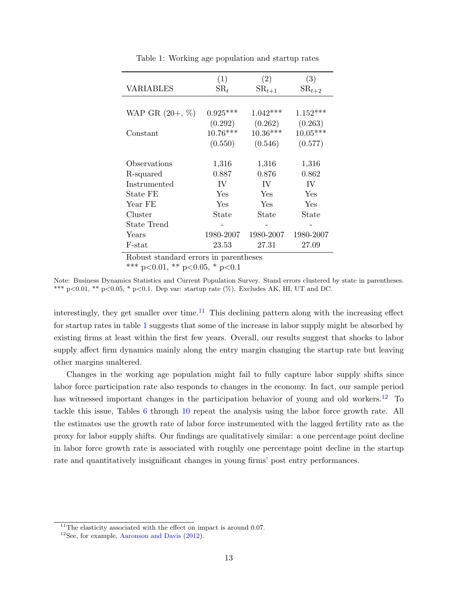<span id="page-13-0"></span>

|                    | (1)             | (2)        | (3)        |
|--------------------|-----------------|------------|------------|
| VARIABLES          | $\mathrm{SR}_t$ | $SR_{t+1}$ | $SR_{t+2}$ |
|                    |                 |            |            |
| WAP GR $(20+, \%)$ | $0.925***$      | $1.042***$ | $1.152***$ |
|                    | (0.292)         | (0.262)    | (0.263)    |
| Constant           | $10.76***$      | $10.36***$ | $10.05***$ |
|                    | (0.550)         | (0.546)    | (0.577)    |
|                    |                 |            |            |
| Observations       | 1,316           | 1,316      | 1,316      |
| R-squared          | 0.887           | 0.876      | 0.862      |
| Instrumented       | IV              | IV         | IV         |
| State FE           | Yes             | Yes        | Yes        |
| Year FE            | Yes             | Yes        | Yes        |
| Cluster            | State           | State      | State      |
| State Trend        |                 |            |            |
| Years              | 1980-2007       | 1980-2007  | 1980-2007  |
| F-stat             | 23.53           | 27.31      | 27.09      |

Table 1: Working age population and startup rates

\*\*\* p<0.01, \*\* p<0.05, \* p<0.1

Note: Business Dynamics Statistics and Current Population Survey. Stand errors clustered by state in parentheses. \*\*\* p<0.01, \*\* p<0.05, \* p<0.1. Dep var: startup rate (%). Excludes AK, HI, UT and DC.

interestingly, they get smaller over time.<sup>[11](#page-13-1)</sup> This declining pattern along with the increasing effect for startup rates in table [1](#page-13-0) suggests that some of the increase in labor supply might be absorbed by existing firms at least within the first few years. Overall, our results suggest that shocks to labor supply affect firm dynamics mainly along the entry margin changing the startup rate but leaving other margins unaltered.

Changes in the working age population might fail to fully capture labor supply shifts since labor force participation rate also responds to changes in the economy. In fact, our sample period has witnessed important changes in the participation behavior of young and old workers.<sup>[12](#page-13-2)</sup> To tackle this issue, Tables [6](#page-16-0) through [10](#page-18-0) repeat the analysis using the labor force growth rate. All the estimates use the growth rate of labor force instrumented with the lagged fertility rate as the proxy for labor supply shifts. Our findings are qualitatively similar: a one percentage point decline in labor force growth rate is associated with roughly one percentage point decline in the startup rate and quantitatively insignificant changes in young firms' post entry performances.

<span id="page-13-1"></span> $11$ <sup>11</sup>The elasticity associated with the effect on impact is around 0.07.

<span id="page-13-2"></span><sup>12</sup>See, for example, [Aaronson and Davis](#page-25-14) [\(2012\)](#page-25-14).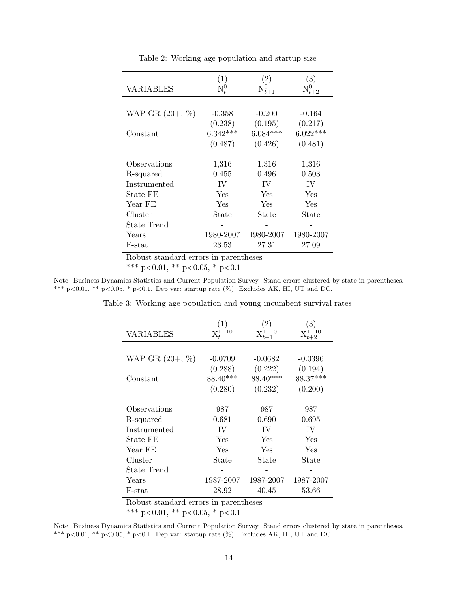<span id="page-14-0"></span>

|                    | (1)                                            | $\left( 2\right)$ | (3)        |
|--------------------|------------------------------------------------|-------------------|------------|
| VARIABLES          | $\mathrm{N}_\mathrm{{\scriptscriptstyle f}}^0$ |                   |            |
|                    |                                                |                   |            |
| WAP GR $(20+, \%)$ | $-0.358$                                       | $-0.200$          | $-0.164$   |
|                    | (0.238)                                        | (0.195)           | (0.217)    |
| Constant           | $6.342***$                                     | $6.084***$        | $6.022***$ |
|                    | (0.487)                                        | (0.426)           | (0.481)    |
|                    |                                                |                   |            |
| Observations       | 1,316                                          | 1,316             | 1,316      |
| R-squared          | 0.455                                          | 0.496             | 0.503      |
| Instrumented       | IV                                             | IV                | IV         |
| State FE           | Yes                                            | Yes               | Yes        |
| Year FE            | Yes                                            | Yes               | Yes        |
| Cluster            | $\operatorname{State}$                         | State             | State      |
| State Trend        |                                                |                   |            |
| Years              | 1980-2007                                      | 1980-2007         | 1980-2007  |
| F-stat             | 23.53                                          | 27.31             | 27.09      |

Table 2: Working age population and startup size

\*\*\* p<0.01, \*\* p<0.05, \* p<0.1

<span id="page-14-1"></span>Note: Business Dynamics Statistics and Current Population Survey. Stand errors clustered by state in parentheses. \*\*\* p<0.01, \*\* p<0.05, \* p<0.1. Dep var: startup rate (%). Excludes AK, HI, UT and DC.

| <b>VARIABLES</b>   | $\left(1\right)$<br>$X_{t}^{1-10}$ | $\left(2\right)$ | $\left( 3\right)$ |
|--------------------|------------------------------------|------------------|-------------------|
|                    |                                    |                  |                   |
| WAP GR $(20+, \%)$ | $-0.0709$                          | $-0.0682$        | $-0.0396$         |
|                    | (0.288)                            | (0.222)          | (0.194)           |
| Constant           | 88.40***                           | 88.40***         | 88.37***          |
|                    | (0.280)                            | (0.232)          | (0.200)           |
|                    |                                    |                  |                   |
| Observations       | 987                                | 987              | 987               |
| R-squared          | 0.681                              | 0.690            | 0.695             |
| Instrumented       | IV                                 | <b>IV</b>        | IV                |
| State FE           | Yes                                | Yes              | Yes               |
| Year FE            | Yes                                | Yes              | Yes               |
| Cluster            | State                              | State            | State             |
| State Trend        |                                    |                  |                   |
| Years              | 1987-2007                          | 1987-2007        | 1987-2007         |
| F-stat             | 28.92                              | 40.45            | 53.66             |

Table 3: Working age population and young incumbent survival rates

Robust standard errors in parentheses

\*\*\* p<0.01, \*\* p<0.05, \* p<0.1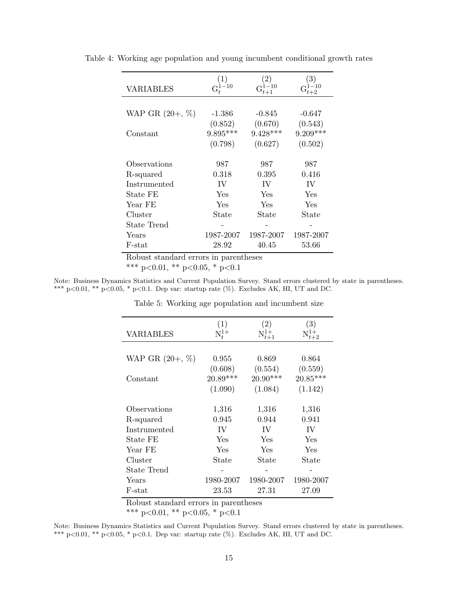| VARIABLES          | $G_t^{1-10}$ | $G_{t+1}$  | $\left(3\right)$ |
|--------------------|--------------|------------|------------------|
|                    |              |            |                  |
| WAP GR $(20+, \%)$ | -1.386       | $-0.845$   | $-0.647$         |
|                    | (0.852)      | (0.670)    | (0.543)          |
| Constant           | $9.895***$   | $9.428***$ | $9.209***$       |
|                    | (0.798)      | (0.627)    | (0.502)          |
|                    |              |            |                  |
| Observations       | 987          | 987        | 987              |
| R-squared          | 0.318        | 0.395      | 0.416            |
| Instrumented       | IV           | IV         | IV               |
| State FE           | Yes          | Yes        | Yes              |
| Year FE            | Yes          | Yes        | Yes              |
| Cluster            | State        | State      | State            |
| State Trend        |              |            |                  |
| Years              | 1987-2007    | 1987-2007  | 1987-2007        |
| $F$ -stat          | 28.92        | 40.45      | 53.66            |

<span id="page-15-1"></span>Table 4: Working age population and young incumbent conditional growth rates

\*\*\* p<0.01, \*\* p<0.05, \* p<0.1

<span id="page-15-0"></span>Note: Business Dynamics Statistics and Current Population Survey. Stand errors clustered by state in parentheses. \*\*\* p<0.01, \*\* p<0.05, \* p<0.1. Dep var: startup rate (%). Excludes AK, HI, UT and DC.

| <b>VARIABLES</b>   | (1)<br>$\mathrm{N}_\mathrm{{\scriptscriptstyle T}}^{1+}$ | $\left( 2\right)$ | $\left( 3\right)$ |
|--------------------|----------------------------------------------------------|-------------------|-------------------|
|                    |                                                          |                   |                   |
|                    |                                                          |                   |                   |
| WAP GR $(20+, \%)$ | 0.955                                                    | 0.869             | 0.864             |
|                    | (0.608)                                                  | (0.554)           | (0.559)           |
| Constant           | $20.89***$                                               | $20.90***$        | $20.85***$        |
|                    | (1.090)                                                  | (1.084)           | (1.142)           |
|                    |                                                          |                   |                   |
| Observations       | 1,316                                                    | 1,316             | 1,316             |
| R-squared          | 0.945                                                    | 0.944             | 0.941             |
| Instrumented       | IV                                                       | IV                | IV                |
| State FE           | Yes                                                      | Yes               | Yes               |
| Year FE            | Yes                                                      | Yes               | Yes               |
| Cluster            | State                                                    | State             | State             |
| State Trend        |                                                          |                   |                   |
| Years              | 1980-2007                                                | 1980-2007         | 1980-2007         |
| F-stat             | 23.53                                                    | 27.31             | 27.09             |

Table 5: Working age population and incumbent size

Robust standard errors in parentheses

\*\*\* p<0.01, \*\* p<0.05, \* p<0.1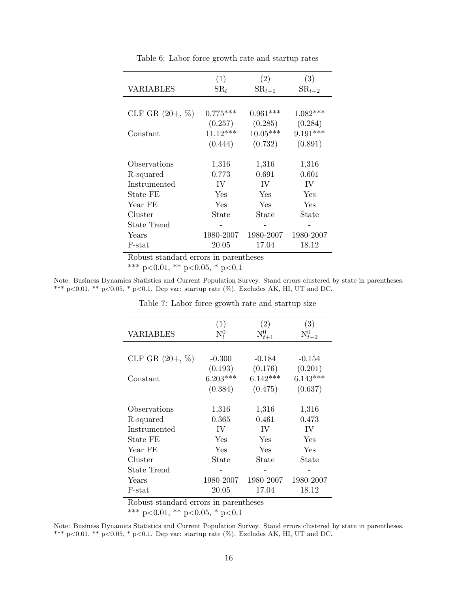<span id="page-16-0"></span>

|                   | (1)           | (2)        | (3)               |
|-------------------|---------------|------------|-------------------|
| VARIABLES         | $\text{SR}_t$ | $SR_{t+1}$ | $\text{SR}_{t+2}$ |
|                   |               |            |                   |
| CLF GR $(20+, %)$ | $0.775***$    | $0.961***$ | $1.082***$        |
|                   | (0.257)       | (0.285)    | (0.284)           |
| Constant          | $11.12***$    | $10.05***$ | $9.191***$        |
|                   | (0.444)       | (0.732)    | (0.891)           |
|                   |               |            |                   |
| Observations      | 1,316         | 1,316      | 1,316             |
| R-squared         | 0.773         | 0.691      | 0.601             |
| Instrumented      | IV            | IV         | IV                |
| State FE          | Yes           | Yes        | Yes               |
| Year FE           | Yes           | Yes        | Yes               |
| Cluster           | State         | State      | State             |
| State Trend       |               |            |                   |
| Years             | 1980-2007     | 1980-2007  | 1980-2007         |
| F-stat            | 20.05         | 17.04      | 18.12             |

Table 6: Labor force growth rate and startup rates

\*\*\* p<0.01, \*\* p<0.05, \* p<0.1

Note: Business Dynamics Statistics and Current Population Survey. Stand errors clustered by state in parentheses. \*\*\* p<0.01, \*\* p<0.05, \* p<0.1. Dep var: startup rate (%). Excludes AK, HI, UT and DC.

|                   | (1)        | (2)        | (3)                   |
|-------------------|------------|------------|-----------------------|
| <b>VARIABLES</b>  | $N_t^0$    |            | $\mathcal{N}_{t+2}^0$ |
|                   |            |            |                       |
| CLF GR $(20+, %)$ | $-0.300$   | $-0.184$   | $-0.154$              |
|                   | (0.193)    | (0.176)    | (0.201)               |
| Constant          | $6.203***$ | $6.142***$ | $6.143***$            |
|                   | (0.384)    | (0.475)    | (0.637)               |
|                   |            |            |                       |
| Observations      | 1,316      | 1,316      | 1,316                 |
| R-squared         | 0.365      | 0.461      | 0.473                 |
| Instrumented      | IV         | IV         | IV                    |
| State FE          | Yes        | Yes        | Yes                   |
| Year FE           | Yes        | Yes        | Yes                   |
| Cluster           | State      | State      | State                 |
| State Trend       |            |            |                       |
| Years             | 1980-2007  | 1980-2007  | 1980-2007             |
| F-stat            | 20.05      | 17.04      | 18.12                 |

Table 7: Labor force growth rate and startup size

Robust standard errors in parentheses

\*\*\* p<0.01, \*\* p<0.05, \* p<0.1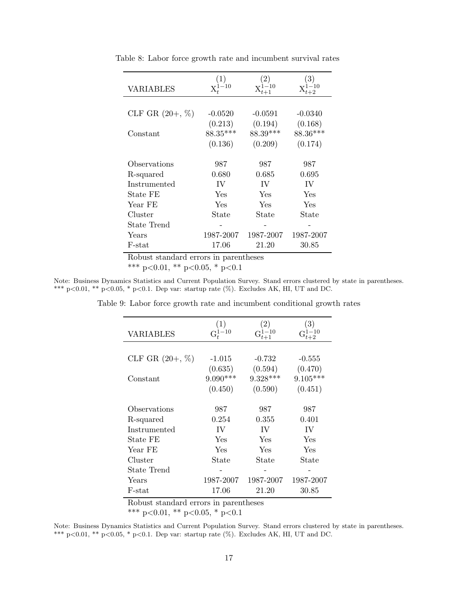| <b>VARIABLES</b>   | $^{-10}$  |           |           |
|--------------------|-----------|-----------|-----------|
|                    |           |           |           |
| CLF GR $(20+, \%)$ | $-0.0520$ | $-0.0591$ | $-0.0340$ |
|                    | (0.213)   | (0.194)   | (0.168)   |
| Constant           | 88.35***  | 88.39***  | 88.36***  |
|                    | (0.136)   | (0.209)   | (0.174)   |
|                    |           |           |           |
| Observations       | 987       | 987       | 987       |
| R-squared          | 0.680     | 0.685     | 0.695     |
| Instrumented       | IV        | IV        | IV        |
| State FE           | Yes       | Yes       | Yes       |
| Year FE            | Yes       | Yes       | Yes       |
| Cluster            | State     | State     | State     |
| State Trend        |           |           |           |
| Years              | 1987-2007 | 1987-2007 | 1987-2007 |
| F-stat             | 17.06     | 21.20     | 30.85     |

Table 8: Labor force growth rate and incumbent survival rates

\*\*\* p<0.01, \*\* p<0.05, \* p<0.1

Note: Business Dynamics Statistics and Current Population Survey. Stand errors clustered by state in parentheses. \*\*\* p<0.01, \*\* p<0.05, \* p<0.1. Dep var: startup rate (%). Excludes AK, HI, UT and DC.

| <b>VARIABLES</b>  | (1)<br>$G_t^{1-10}$ | $\left( 2\right)$ | $\left( 3\right)$ |
|-------------------|---------------------|-------------------|-------------------|
|                   |                     |                   |                   |
| CLF GR $(20+, %)$ | $-1.015$            | $-0.732$          | $-0.555$          |
|                   | (0.635)             | (0.594)           | (0.470)           |
| Constant          | $9.090***$          | $9.328***$        | $9.105***$        |
|                   | (0.450)             | (0.590)           | (0.451)           |
|                   |                     |                   |                   |
| Observations      | 987                 | 987               | 987               |
| R-squared         | 0.254               | 0.355             | 0.401             |
| Instrumented      | IV                  | IV                | TV.               |
| State FE          | Yes                 | Yes               | Yes               |
| Year FE           | Yes                 | Yes               | Yes               |
| Cluster           | State               | State             | State             |
| State Trend       |                     |                   |                   |
| Years             | 1987-2007           | 1987-2007         | 1987-2007         |
| F-stat            | 17.06               | 21.20             | 30.85             |

Table 9: Labor force growth rate and incumbent conditional growth rates

Robust standard errors in parentheses

\*\*\* p<0.01, \*\* p<0.05, \* p<0.1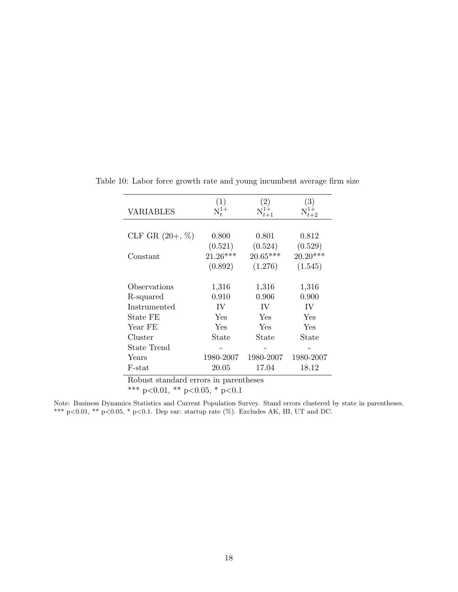|                    | (1)        | $\left( 2\right)$                    | $\left( 3\right)$ |
|--------------------|------------|--------------------------------------|-------------------|
| <b>VARIABLES</b>   | $N_t^{1+}$ | $\mathop{\rm N}\nolimits^{1+}_{t+1}$ |                   |
|                    |            |                                      |                   |
| CLF GR $(20+, \%)$ | 0.800      | 0.801                                | 0.812             |
|                    | (0.521)    | (0.524)                              | (0.529)           |
| Constant           | $21.26***$ | $20.65***$                           | $20.20***$        |
|                    | (0.892)    | (1.276)                              | (1.545)           |
|                    |            |                                      |                   |
| Observations       | 1,316      | 1,316                                | 1,316             |
| R-squared          | 0.910      | 0.906                                | 0.900             |
| Instrumented       | IV         | IV                                   | IV                |
| State FE           | Yes        | Yes                                  | Yes               |
| Year FE            | Yes        | Yes                                  | Yes               |
| Cluster            | State      | State                                | State             |
| State Trend        |            |                                      |                   |
| Years              | 1980-2007  | 1980-2007                            | 1980-2007         |
| F-stat<br>п.<br>п. | 20.05      | 17.04<br>$\blacksquare$              | 18.12             |

<span id="page-18-0"></span>Table 10: Labor force growth rate and young incumbent average firm size

\*\*\* p<0.01, \*\* p<0.05, \* p<0.1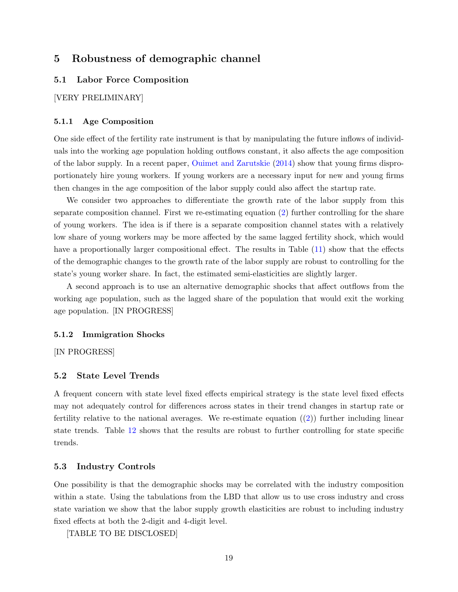## 5 Robustness of demographic channel

#### 5.1 Labor Force Composition

[VERY PRELIMINARY]

#### 5.1.1 Age Composition

One side effect of the fertility rate instrument is that by manipulating the future inflows of individuals into the working age population holding outflows constant, it also affects the age composition of the labor supply. In a recent paper, [Ouimet and Zarutskie](#page-26-2) [\(2014\)](#page-26-2) show that young firms disproportionately hire young workers. If young workers are a necessary input for new and young firms then changes in the age composition of the labor supply could also affect the startup rate.

We consider two approaches to differentiate the growth rate of the labor supply from this separate composition channel. First we re-estimating equation [\(2\)](#page-10-0) further controlling for the share of young workers. The idea is if there is a separate composition channel states with a relatively low share of young workers may be more affected by the same lagged fertility shock, which would have a proportionally larger compositional effect. The results in Table  $(11)$  show that the effects of the demographic changes to the growth rate of the labor supply are robust to controlling for the state's young worker share. In fact, the estimated semi-elasticities are slightly larger.

A second approach is to use an alternative demographic shocks that affect outflows from the working age population, such as the lagged share of the population that would exit the working age population. [IN PROGRESS]

#### 5.1.2 Immigration Shocks

[IN PROGRESS]

#### 5.2 State Level Trends

A frequent concern with state level fixed effects empirical strategy is the state level fixed effects may not adequately control for differences across states in their trend changes in startup rate or fertility relative to the national averages. We re-estimate equation  $(2)$  further including linear state trends. Table [12](#page-21-0) shows that the results are robust to further controlling for state specific trends.

#### 5.3 Industry Controls

One possibility is that the demographic shocks may be correlated with the industry composition within a state. Using the tabulations from the LBD that allow us to use cross industry and cross state variation we show that the labor supply growth elasticities are robust to including industry fixed effects at both the 2-digit and 4-digit level.

[TABLE TO BE DISCLOSED]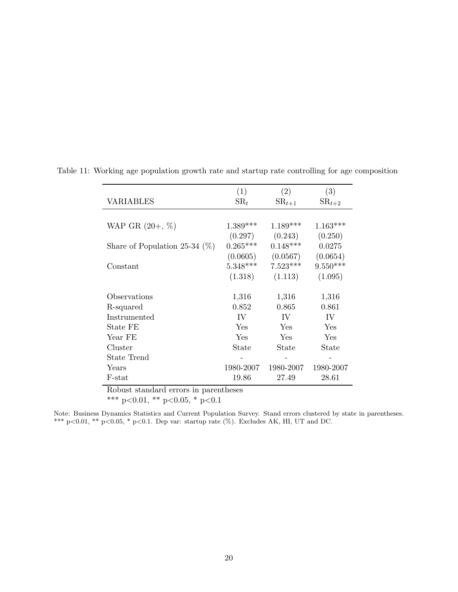|                                       | (1)           | (2)        | (3)               |  |
|---------------------------------------|---------------|------------|-------------------|--|
| VARIABLES                             | $\text{SR}_t$ | $SR_{t+1}$ | $\text{SR}_{t+2}$ |  |
|                                       |               |            |                   |  |
| WAP GR $(20+, \%)$                    | $1.389***$    | $1.189***$ | $1.163***$        |  |
|                                       | (0.297)       | (0.243)    | (0.250)           |  |
| Share of Population 25-34 $(\%)$      | $0.265***$    | $0.148***$ | 0.0275            |  |
|                                       | (0.0605)      | (0.0567)   | (0.0654)          |  |
| Constant                              | $5.348***$    | $7.523***$ | $9.550***$        |  |
|                                       | (1.318)       | (1.113)    | (1.095)           |  |
|                                       |               |            |                   |  |
| Observations                          | 1,316         | 1,316      | 1,316             |  |
| R-squared                             | 0.852         | 0.865      | 0.861             |  |
| Instrumented                          | IV            | IV         | IV                |  |
| State FE                              | <b>Yes</b>    | Yes        | Yes               |  |
| Year FE                               | Yes           | Yes        | Yes               |  |
| Cluster                               | State         | State      | State             |  |
| State Trend                           |               |            |                   |  |
| Years                                 | 1980-2007     | 1980-2007  | 1980-2007         |  |
| F-stat                                | 19.86         | 27.49      | 28.61             |  |
| Robust standard errors in parentheses |               |            |                   |  |

<span id="page-20-0"></span>Table 11: Working age population growth rate and startup rate controlling for age composition

\*\*\* p<0.01, \*\* p<0.05, \* p<0.1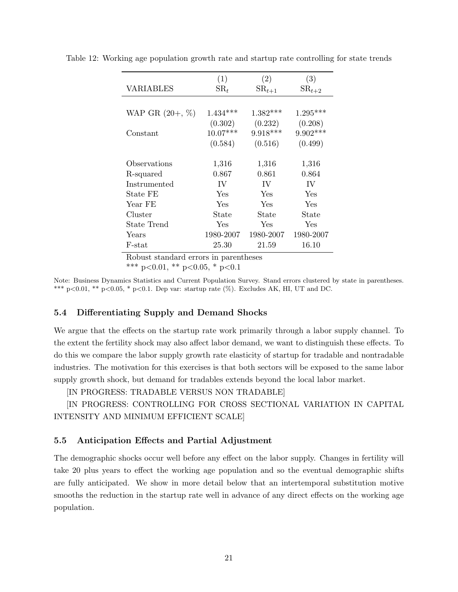|                    | (1)             | (2)        | (3)        |
|--------------------|-----------------|------------|------------|
| VARIABLES          | $\mathrm{SR}_t$ | $SR_{t+1}$ | $SR_{t+2}$ |
|                    |                 |            |            |
| WAP GR $(20+, \%)$ | $1.434***$      | $1.382***$ | $1.295***$ |
|                    | (0.302)         | (0.232)    | (0.208)    |
| Constant           | $10.07***$      | $9.918***$ | $9.902***$ |
|                    | (0.584)         | (0.516)    | (0.499)    |
|                    |                 |            |            |
| Observations       | 1,316           | 1,316      | 1,316      |
| R-squared          | 0.867           | 0.861      | 0.864      |
| Instrumented       | IV              | IV         | IV         |
| State FE           | Yes             | Yes        | Yes        |
| Year FE            | Yes             | Yes        | Yes        |
| Cluster            | State           | State      | State      |
| State Trend        | Yes             | Yes        | Yes        |
| Years              | 1980-2007       | 1980-2007  | 1980-2007  |
| F-stat             | 25.30           | 21.59      | 16.10      |

<span id="page-21-0"></span>Table 12: Working age population growth rate and startup rate controlling for state trends

\*\*\* p<0.01, \*\* p<0.05, \* p<0.1

Note: Business Dynamics Statistics and Current Population Survey. Stand errors clustered by state in parentheses. \*\*\* p<0.01, \*\* p<0.05, \* p<0.1. Dep var: startup rate (%). Excludes AK, HI, UT and DC.

#### 5.4 Differentiating Supply and Demand Shocks

We argue that the effects on the startup rate work primarily through a labor supply channel. To the extent the fertility shock may also affect labor demand, we want to distinguish these effects. To do this we compare the labor supply growth rate elasticity of startup for tradable and nontradable industries. The motivation for this exercises is that both sectors will be exposed to the same labor supply growth shock, but demand for tradables extends beyond the local labor market.

[IN PROGRESS: TRADABLE VERSUS NON TRADABLE]

[IN PROGRESS: CONTROLLING FOR CROSS SECTIONAL VARIATION IN CAPITAL INTENSITY AND MINIMUM EFFICIENT SCALE]

#### 5.5 Anticipation Effects and Partial Adjustment

The demographic shocks occur well before any effect on the labor supply. Changes in fertility will take 20 plus years to effect the working age population and so the eventual demographic shifts are fully anticipated. We show in more detail below that an intertemporal substitution motive smooths the reduction in the startup rate well in advance of any direct effects on the working age population.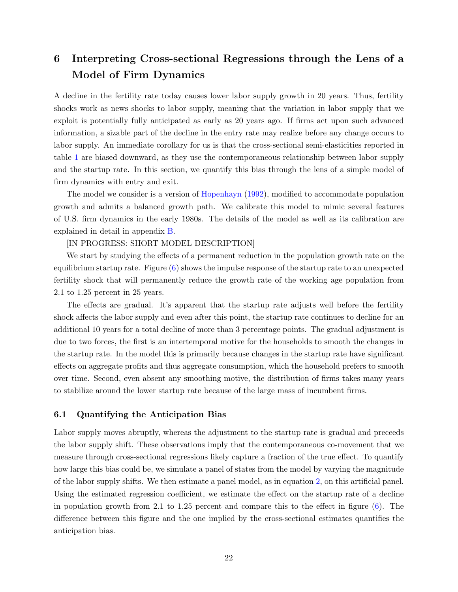## 6 Interpreting Cross-sectional Regressions through the Lens of a Model of Firm Dynamics

A decline in the fertility rate today causes lower labor supply growth in 20 years. Thus, fertility shocks work as news shocks to labor supply, meaning that the variation in labor supply that we exploit is potentially fully anticipated as early as 20 years ago. If firms act upon such advanced information, a sizable part of the decline in the entry rate may realize before any change occurs to labor supply. An immediate corollary for us is that the cross-sectional semi-elasticities reported in table [1](#page-13-0) are biased downward, as they use the contemporaneous relationship between labor supply and the startup rate. In this section, we quantify this bias through the lens of a simple model of firm dynamics with entry and exit.

The model we consider is a version of [Hopenhayn](#page-25-9) [\(1992\)](#page-25-9), modified to accommodate population growth and admits a balanced growth path. We calibrate this model to mimic several features of U.S. firm dynamics in the early 1980s. The details of the model as well as its calibration are explained in detail in appendix [B.](#page-27-1)

#### [IN PROGRESS: SHORT MODEL DESCRIPTION]

We start by studying the effects of a permanent reduction in the population growth rate on the equilibrium startup rate. Figure  $(6)$  shows the impulse response of the startup rate to an unexpected fertility shock that will permanently reduce the growth rate of the working age population from 2.1 to 1.25 percent in 25 years.

The effects are gradual. It's apparent that the startup rate adjusts well before the fertility shock affects the labor supply and even after this point, the startup rate continues to decline for an additional 10 years for a total decline of more than 3 percentage points. The gradual adjustment is due to two forces, the first is an intertemporal motive for the households to smooth the changes in the startup rate. In the model this is primarily because changes in the startup rate have significant effects on aggregate profits and thus aggregate consumption, which the household prefers to smooth over time. Second, even absent any smoothing motive, the distribution of firms takes many years to stabilize around the lower startup rate because of the large mass of incumbent firms.

#### 6.1 Quantifying the Anticipation Bias

Labor supply moves abruptly, whereas the adjustment to the startup rate is gradual and preceeds the labor supply shift. These observations imply that the contemporaneous co-movement that we measure through cross-sectional regressions likely capture a fraction of the true effect. To quantify how large this bias could be, we simulate a panel of states from the model by varying the magnitude of the labor supply shifts. We then estimate a panel model, as in equation [2,](#page-10-0) on this artificial panel. Using the estimated regression coefficient, we estimate the effect on the startup rate of a decline in population growth from 2.1 to 1.25 percent and compare this to the effect in figure [\(6\)](#page-23-0). The difference between this figure and the one implied by the cross-sectional estimates quantifies the anticipation bias.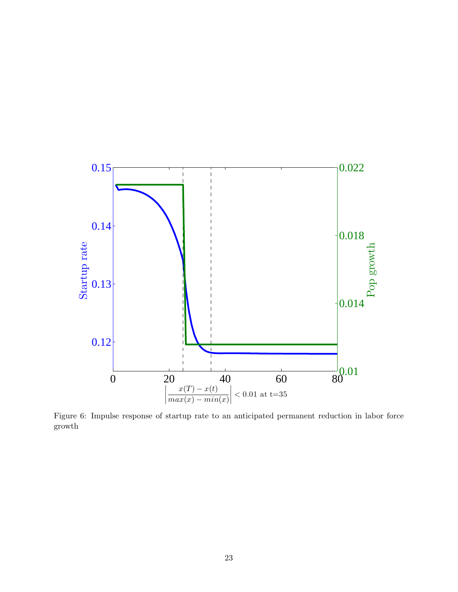<span id="page-23-0"></span>

Figure 6: Impulse response of startup rate to an anticipated permanent reduction in labor force growth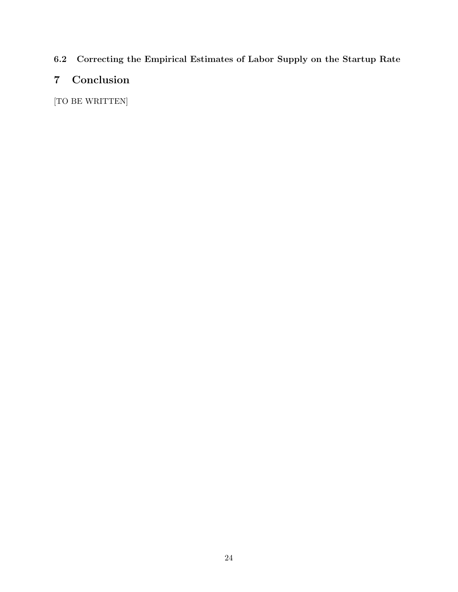## 6.2 Correcting the Empirical Estimates of Labor Supply on the Startup Rate

# 7 Conclusion

[TO BE WRITTEN]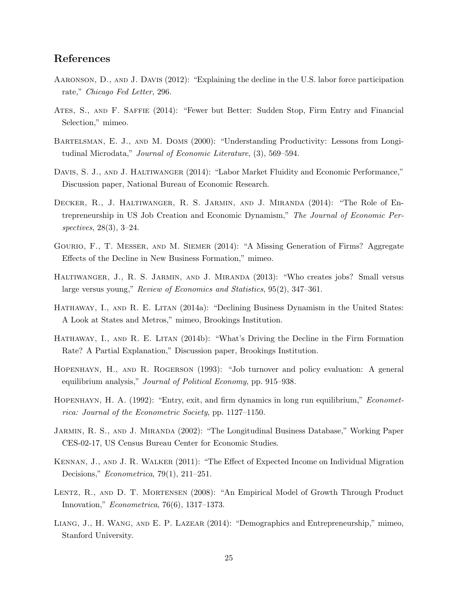## References

- <span id="page-25-14"></span>Aaronson, D., and J. Davis (2012): "Explaining the decline in the U.S. labor force participation rate," Chicago Fed Letter, 296.
- <span id="page-25-12"></span>Ates, S., and F. Saffie (2014): "Fewer but Better: Sudden Stop, Firm Entry and Financial Selection," mimeo.
- <span id="page-25-0"></span>Bartelsman, E. J., and M. Doms (2000): "Understanding Productivity: Lessons from Longitudinal Microdata," Journal of Economic Literature, (3), 569–594.
- <span id="page-25-4"></span>DAVIS, S. J., AND J. HALTIWANGER (2014): "Labor Market Fluidity and Economic Performance," Discussion paper, National Bureau of Economic Research.
- <span id="page-25-1"></span>Decker, R., J. Haltiwanger, R. S. Jarmin, and J. Miranda (2014): "The Role of Entrepreneurship in US Job Creation and Economic Dynamism," The Journal of Economic Perspectives, 28(3), 3–24.
- <span id="page-25-3"></span>Gourio, F., T. Messer, and M. Siemer (2014): "A Missing Generation of Firms? Aggregate Effects of the Decline in New Business Formation," mimeo.
- <span id="page-25-6"></span>Haltiwanger, J., R. S. Jarmin, and J. Miranda (2013): "Who creates jobs? Small versus large versus young," Review of Economics and Statistics, 95(2), 347–361.
- <span id="page-25-2"></span>HATHAWAY, I., AND R. E. LITAN (2014a): "Declining Business Dynamism in the United States: A Look at States and Metros," mimeo, Brookings Institution.
- <span id="page-25-5"></span>HATHAWAY, I., AND R. E. LITAN (2014b): "What's Driving the Decline in the Firm Formation Rate? A Partial Explanation," Discussion paper, Brookings Institution.
- <span id="page-25-10"></span>Hopenhayn, H., and R. Rogerson (1993): "Job turnover and policy evaluation: A general equilibrium analysis," Journal of Political Economy, pp. 915–938.
- <span id="page-25-9"></span>HOPENHAYN, H. A. (1992): "Entry, exit, and firm dynamics in long run equilibrium," *Economet*rica: Journal of the Econometric Society, pp. 1127–1150.
- <span id="page-25-11"></span>JARMIN, R. S., AND J. MIRANDA (2002): "The Longitudinal Business Database," Working Paper CES-02-17, US Census Bureau Center for Economic Studies.
- <span id="page-25-13"></span>Kennan, J., and J. R. Walker (2011): "The Effect of Expected Income on Individual Migration Decisions," Econometrica, 79(1), 211–251.
- <span id="page-25-7"></span>LENTZ, R., AND D. T. MORTENSEN (2008): "An Empirical Model of Growth Through Product Innovation," Econometrica, 76(6), 1317–1373.
- <span id="page-25-8"></span>Liang, J., H. Wang, and E. P. Lazear (2014): "Demographics and Entrepreneurship," mimeo, Stanford University.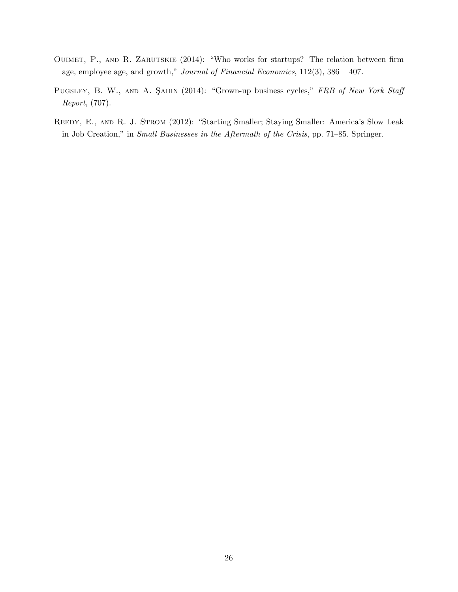- <span id="page-26-2"></span>OUIMET, P., AND R. ZARUTSKIE (2014): "Who works for startups? The relation between firm age, employee age, and growth," Journal of Financial Economics,  $112(3)$ ,  $386 - 407$ .
- <span id="page-26-1"></span>PUGSLEY, B. W., AND A. SAHIN (2014): "Grown-up business cycles," FRB of New York Staff Report, (707).
- <span id="page-26-0"></span>REEDY, E., AND R. J. STROM (2012): "Starting Smaller; Staying Smaller: America's Slow Leak in Job Creation," in Small Businesses in the Aftermath of the Crisis, pp. 71–85. Springer.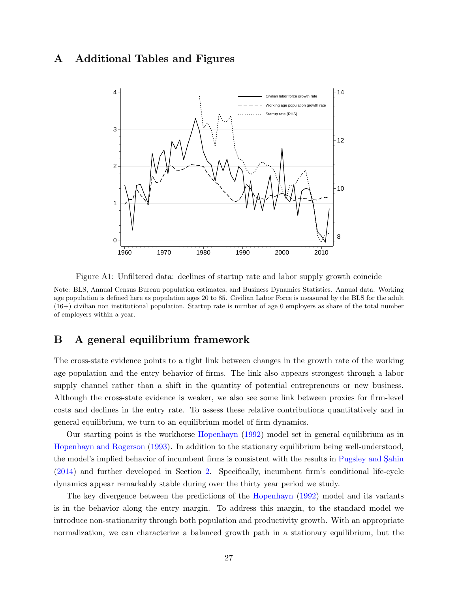## <span id="page-27-0"></span>A Additional Tables and Figures



Figure A1: Unfiltered data: declines of startup rate and labor supply growth coincide

Note: BLS, Annual Census Bureau population estimates, and Business Dynamics Statistics. Annual data. Working age population is defined here as population ages 20 to 85. Civilian Labor Force is measured by the BLS for the adult (16+) civilian non institutional population. Startup rate is number of age 0 employers as share of the total number of employers within a year.

## <span id="page-27-1"></span>B A general equilibrium framework

The cross-state evidence points to a tight link between changes in the growth rate of the working age population and the entry behavior of firms. The link also appears strongest through a labor supply channel rather than a shift in the quantity of potential entrepreneurs or new business. Although the cross-state evidence is weaker, we also see some link between proxies for firm-level costs and declines in the entry rate. To assess these relative contributions quantitatively and in general equilibrium, we turn to an equilibrium model of firm dynamics.

Our starting point is the workhorse [Hopenhayn](#page-25-9) [\(1992\)](#page-25-9) model set in general equilibrium as in [Hopenhayn and Rogerson](#page-25-10) [\(1993\)](#page-25-10). In addition to the stationary equilibrium being well-understood, the model's implied behavior of incumbent firms is consistent with the results in Pugsley and Sahin [\(2014\)](#page-26-1) and further developed in Section [2.](#page-5-3) Specifically, incumbent firm's conditional life-cycle dynamics appear remarkably stable during over the thirty year period we study.

The key divergence between the predictions of the [Hopenhayn](#page-25-9) [\(1992\)](#page-25-9) model and its variants is in the behavior along the entry margin. To address this margin, to the standard model we introduce non-stationarity through both population and productivity growth. With an appropriate normalization, we can characterize a balanced growth path in a stationary equilibrium, but the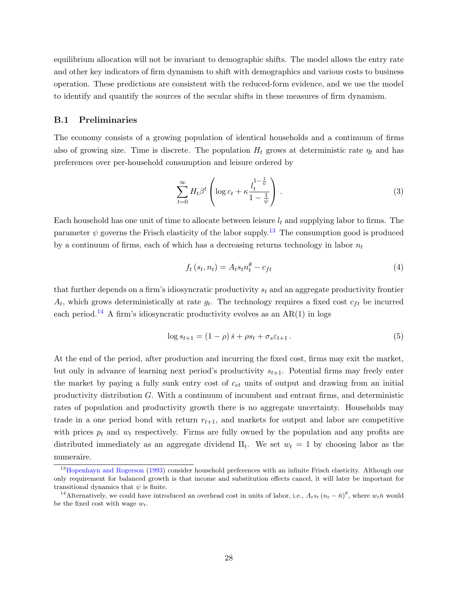equilibrium allocation will not be invariant to demographic shifts. The model allows the entry rate and other key indicators of firm dynamism to shift with demographics and various costs to business operation. These predictions are consistent with the reduced-form evidence, and we use the model to identify and quantify the sources of the secular shifts in these measures of firm dynamism.

#### B.1 Preliminaries

The economy consists of a growing population of identical households and a continuum of firms also of growing size. Time is discrete. The population  $H_t$  grows at deterministic rate  $\eta_t$  and has preferences over per-household consumption and leisure ordered by

<span id="page-28-4"></span>
$$
\sum_{t=0}^{\infty} H_t \beta^t \left( \log c_t + \kappa \frac{l_t^{1-\frac{1}{\psi}}}{1-\frac{1}{\psi}} \right) \,. \tag{3}
$$

Each household has one unit of time to allocate between leisure  $l_t$  and supplying labor to firms. The parameter  $\psi$  governs the Frisch elasticity of the labor supply.<sup>[13](#page-28-0)</sup> The consumption good is produced by a continuum of firms, each of which has a decreasing returns technology in labor  $n_t$ 

<span id="page-28-2"></span>
$$
f_t(s_t, n_t) = A_t s_t n_t^{\theta} - c_{ft}
$$
\n<sup>(4)</sup>

that further depends on a firm's idiosyncratic productivity  $s_t$  and an aggregate productivity frontier  $A_t$ , which grows deterministically at rate  $g_t$ . The technology requires a fixed cost  $c_{ft}$  be incurred each period.<sup>[14](#page-28-1)</sup> A firm's idiosyncratic productivity evolves as an  $AR(1)$  in logs

<span id="page-28-3"></span>
$$
\log s_{t+1} = (1 - \rho) \bar{s} + \rho s_t + \sigma_s \varepsilon_{t+1} . \tag{5}
$$

At the end of the period, after production and incurring the fixed cost, firms may exit the market, but only in advance of learning next period's productivity  $s_{t+1}$ . Potential firms may freely enter the market by paying a fully sunk entry cost of  $c_{et}$  units of output and drawing from an initial productivity distribution G. With a continuum of incumbent and entrant firms, and deterministic rates of population and productivity growth there is no aggregate uncertainty. Households may trade in a one period bond with return  $r_{t+1}$ , and markets for output and labor are competitive with prices  $p_t$  and  $w_t$  respectively. Firms are fully owned by the population and any profits are distributed immediately as an aggregate dividend  $\Pi_t$ . We set  $w_t = 1$  by choosing labor as the numeraire.

<span id="page-28-0"></span><sup>&</sup>lt;sup>13</sup>[Hopenhayn and Rogerson](#page-25-10) [\(1993\)](#page-25-10) consider household preferences with an infinite Frisch elasticity. Although our only requirement for balanced growth is that income and substitution effects cancel, it will later be important for transitional dynamics that  $\psi$  is finite.

<span id="page-28-1"></span><sup>&</sup>lt;sup>14</sup> Alternatively, we could have introduced an overhead cost in units of labor, i.e.,  $A_t s_t (n_t - \bar{n})^{\theta}$ , where  $w_t \bar{n}$  would be the fixed cost with wage  $w_t$ .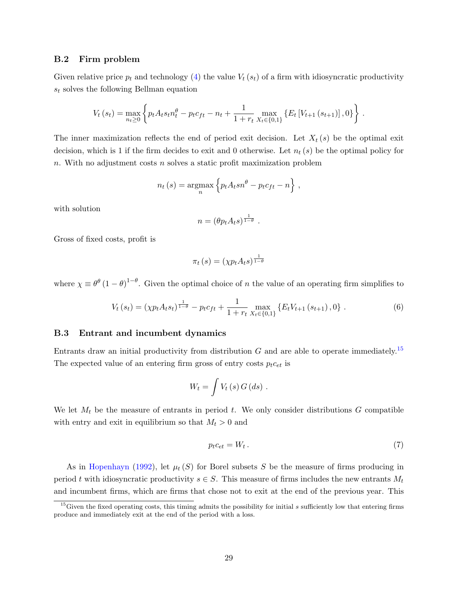#### B.2 Firm problem

Given relative price  $p_t$  and technology [\(4\)](#page-28-2) the value  $V_t(s_t)$  of a firm with idiosyncratic productivity  $s_t$  solves the following Bellman equation

$$
V_t(s_t) = \max_{n_t \geq 0} \left\{ p_t A_t s_t n_t^{\theta} - p_t c_{ft} - n_t + \frac{1}{1 + r_t} \max_{X_t \in \{0, 1\}} \left\{ E_t \left[ V_{t+1} \left( s_{t+1} \right) \right], 0 \right\} \right\}.
$$

The inner maximization reflects the end of period exit decision. Let  $X_t(s)$  be the optimal exit decision, which is 1 if the firm decides to exit and 0 otherwise. Let  $n_t(s)$  be the optimal policy for n. With no adjustment costs n solves a static profit maximization problem

$$
n_t(s) = \operatorname*{argmax}_{n} \left\{ p_t A_t s n^{\theta} - p_t c_{ft} - n \right\},\,
$$

with solution

$$
n = (\theta p_t A_t s)^{\frac{1}{1-\theta}}.
$$

Gross of fixed costs, profit is

$$
\pi_t\left(s\right) = (\chi p_t A_t s)^{\frac{1}{1-\theta}}
$$

where  $\chi \equiv \theta^{\theta} (1-\theta)^{1-\theta}$ . Given the optimal choice of *n* the value of an operating firm simplifies to

$$
V_t(s_t) = (\chi p_t A_t s_t)^{\frac{1}{1-\theta}} - p_t c_{ft} + \frac{1}{1+r_t} \max_{X_t \in \{0,1\}} \{E_t V_{t+1}(s_{t+1}), 0\}.
$$
 (6)

#### B.3 Entrant and incumbent dynamics

Entrants draw an initial productivity from distribution  $G$  and are able to operate immediately.<sup>[15](#page-29-0)</sup> The expected value of an entering firm gross of entry costs  $p_t c_{et}$  is

$$
W_t = \int V_t(s) G(ds) .
$$

We let  $M_t$  be the measure of entrants in period t. We only consider distributions G compatible with entry and exit in equilibrium so that  $M_t > 0$  and

<span id="page-29-1"></span>
$$
p_t c_{et} = W_t \,. \tag{7}
$$

As in [Hopenhayn](#page-25-9) [\(1992\)](#page-25-9), let  $\mu_t(S)$  for Borel subsets S be the measure of firms producing in period t with idiosyncratic productivity  $s \in S$ . This measure of firms includes the new entrants  $M_t$ and incumbent firms, which are firms that chose not to exit at the end of the previous year. This

<span id="page-29-0"></span><sup>&</sup>lt;sup>15</sup>Given the fixed operating costs, this timing admits the possibility for initial s sufficiently low that entering firms produce and immediately exit at the end of the period with a loss.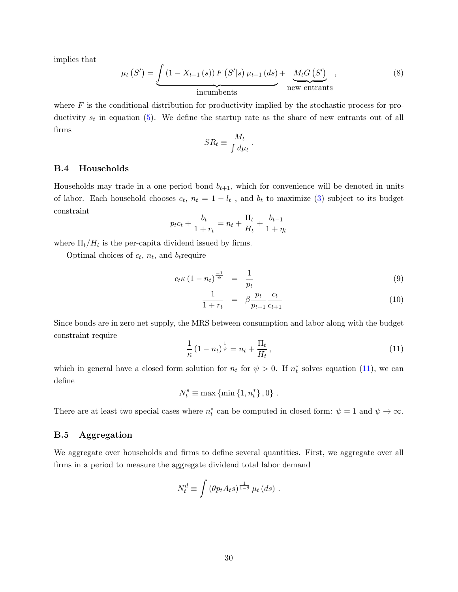implies that

<span id="page-30-1"></span>
$$
\mu_t(S') = \underbrace{\int (1 - X_{t-1}(s)) F(S'|s) \mu_{t-1}(ds)}_{\text{incumbents}} + \underbrace{M_t G(S')}_{\text{new entrants}},
$$
\n(8)

.

where  $F$  is the conditional distribution for productivity implied by the stochastic process for productivity  $s_t$  in equation [\(5\)](#page-28-3). We define the startup rate as the share of new entrants out of all firms

$$
SR_t \equiv \frac{M_t}{\int d\mu_t}
$$

#### B.4 Households

Households may trade in a one period bond  $b_{t+1}$ , which for convenience will be denoted in units of labor. Each household chooses  $c_t$ ,  $n_t = 1 - l_t$ , and  $b_t$  to maximize [\(3\)](#page-28-4) subject to its budget constraint

$$
p_t c_t + \frac{b_t}{1 + r_t} = n_t + \frac{\Pi_t}{H_t} + \frac{b_{t-1}}{1 + \eta_t}
$$

where  $\Pi_t/H_t$  is the per-capita dividend issued by firms.

Optimal choices of  $c_t$ ,  $n_t$ , and  $b_t$  require

$$
c_t \kappa \left(1 - n_t\right)^{\frac{-1}{\psi}} = \frac{1}{p_t} \tag{9}
$$

$$
\frac{1}{1+r_t} = \beta \frac{p_t}{p_{t+1}} \frac{c_t}{c_{t+1}}
$$
\n(10)

Since bonds are in zero net supply, the MRS between consumption and labor along with the budget constraint require

<span id="page-30-0"></span>
$$
\frac{1}{\kappa} (1 - n_t)^{\frac{1}{\psi}} = n_t + \frac{\Pi_t}{H_t},
$$
\n(11)

which in general have a closed form solution for  $n_t$  for  $\psi > 0$ . If  $n_t^*$  solves equation [\(11\)](#page-30-0), we can define

$$
N_t^s\equiv\max\left\{\min\left\{1,n_t^*\right\},0\right\}\,.
$$

There are at least two special cases where  $n_t^*$  can be computed in closed form:  $\psi = 1$  and  $\psi \to \infty$ .

#### B.5 Aggregation

We aggregate over households and firms to define several quantities. First, we aggregate over all firms in a period to measure the aggregate dividend total labor demand

$$
N_t^d \equiv \int \left(\theta p_t A_t s\right)^{\frac{1}{1-\theta}} \mu_t \left(ds\right) .
$$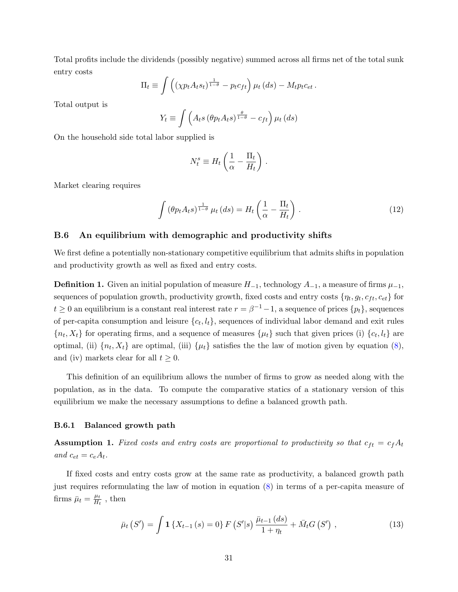Total profits include the dividends (possibly negative) summed across all firms net of the total sunk entry costs

$$
\Pi_t \equiv \int \left( \left( \chi p_t A_t s_t \right)^{\frac{1}{1-\theta}} - p_t c_{ft} \right) \mu_t \left( ds \right) - M_t p_t c_{et}.
$$

Total output is

$$
Y_t \equiv \int \left( A_t s \left( \theta p_t A_t s \right)^{\frac{\theta}{1-\theta}} - c_{ft} \right) \mu_t \left( ds \right)
$$

On the household side total labor supplied is

$$
N_t^s \equiv H_t \left( \frac{1}{\alpha} - \frac{\Pi_t}{H_t} \right)
$$

Market clearing requires

<span id="page-31-1"></span>
$$
\int \left(\theta p_t A_t s\right)^{\frac{1}{1-\theta}} \mu_t \left(ds\right) = H_t \left(\frac{1}{\alpha} - \frac{\Pi_t}{H_t}\right) \,. \tag{12}
$$

.

#### B.6 An equilibrium with demographic and productivity shifts

We first define a potentially non-stationary competitive equilibrium that admits shifts in population and productivity growth as well as fixed and entry costs.

**Definition 1.** Given an initial population of measure  $H_{-1}$ , technology  $A_{-1}$ , a measure of firms  $\mu_{-1}$ , sequences of population growth, productivity growth, fixed costs and entry costs  $\{\eta_t, g_t, c_{ft}, c_{et}\}$  for  $t \geq 0$  an equilibrium is a constant real interest rate  $r = \beta^{-1} - 1$ , a sequence of prices  $\{p_t\}$ , sequences of per-capita consumption and leisure  $\{c_t, l_t\}$ , sequences of individual labor demand and exit rules  ${n_t, X_t}$  for operating firms, and a sequence of measures  ${\mu_t}$  such that given prices (i)  ${c_t, l_t}$  are optimal, (ii)  $\{n_t, X_t\}$  are optimal, (iii)  $\{\mu_t\}$  satisfies the the law of motion given by equation [\(8\)](#page-30-1), and (iv) markets clear for all  $t \geq 0$ .

This definition of an equilibrium allows the number of firms to grow as needed along with the population, as in the data. To compute the comparative statics of a stationary version of this equilibrium we make the necessary assumptions to define a balanced growth path.

#### B.6.1 Balanced growth path

**Assumption 1.** Fixed costs and entry costs are proportional to productivity so that  $c_{ft} = c_f A_t$ and  $c_{et} = c_e A_t$ .

If fixed costs and entry costs grow at the same rate as productivity, a balanced growth path just requires reformulating the law of motion in equation [\(8\)](#page-30-1) in terms of a per-capita measure of firms  $\bar{\mu}_t = \frac{\mu_t}{H_t}$  $\frac{\mu_t}{H_t}$ , then

<span id="page-31-0"></span>
$$
\bar{\mu}_t(S') = \int \mathbf{1} \{ X_{t-1}(s) = 0 \} \, F(S'|s) \, \frac{\bar{\mu}_{t-1}(ds)}{1 + \eta_t} + \bar{M}_t G(S') \;, \tag{13}
$$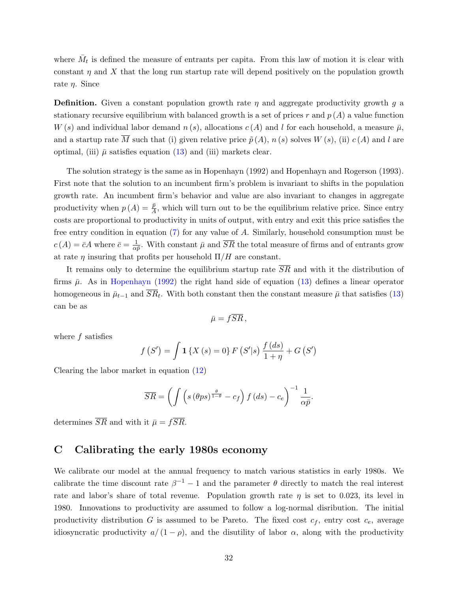where  $\bar{M}_t$  is defined the measure of entrants per capita. From this law of motion it is clear with constant  $\eta$  and X that the long run startup rate will depend positively on the population growth rate  $\eta$ . Since

**Definition.** Given a constant population growth rate  $\eta$  and aggregate productivity growth  $q$  a stationary recursive equilibrium with balanced growth is a set of prices r and  $p(A)$  a value function  $W(s)$  and individual labor demand  $n(s)$ , allocations  $c(A)$  and l for each household, a measure  $\bar{\mu}$ , and a startup rate  $\overline{M}$  such that (i) given relative price  $\tilde{p}(A)$ ,  $n(s)$  solves  $W(s)$ , (ii)  $c(A)$  and l are optimal, (iii)  $\bar{\mu}$  satisfies equation [\(13\)](#page-31-0) and (iii) markets clear.

The solution strategy is the same as in Hopenhayn (1992) and Hopenhayn and Rogerson (1993). First note that the solution to an incumbent firm's problem is invariant to shifts in the population growth rate. An incumbent firm's behavior and value are also invariant to changes in aggregate productivity when  $p(A) = \frac{\bar{p}}{A}$ , which will turn out to be the equilibrium relative price. Since entry costs are proportional to productivity in units of output, with entry and exit this price satisfies the free entry condition in equation [\(7\)](#page-29-1) for any value of A. Similarly, household consumption must be  $c(A) = \overline{c}A$  where  $\overline{c} = \frac{1}{\alpha}$  $\frac{1}{\alpha \bar{p}}$ . With constant  $\bar{\mu}$  and  $\overline{SR}$  the total measure of firms and of entrants grow at rate  $\eta$  insuring that profits per household  $\Pi/H$  are constant.

It remains only to determine the equilibrium startup rate  $\overline{SR}$  and with it the distribution of firms  $\bar{\mu}$ . As in [Hopenhayn](#page-25-9) [\(1992\)](#page-25-9) the right hand side of equation [\(13\)](#page-31-0) defines a linear operator homogeneous in  $\bar{\mu}_{t-1}$  and  $SR_t$ . With both constant then the constant measure  $\bar{\mu}$  that satisfies [\(13\)](#page-31-0) can be as

$$
\bar{\mu} = f\overline{SR} ,
$$

where  $f$  satisfies

$$
f(S') = \int \mathbf{1} \{ X(s) = 0 \} F(S'|s) \frac{f(ds)}{1 + \eta} + G(S')
$$

Clearing the labor market in equation [\(12\)](#page-31-1)

$$
\overline{SR} = \left( \int \left( s \left( \theta ps \right)^{\frac{\theta}{1-\theta}} - c_f \right) f \left( ds \right) - c_e \right)^{-1} \frac{1}{\alpha \bar{p}}.
$$

determines  $\overline{SR}$  and with it  $\overline{\mu} = f\overline{SR}$ .

## C Calibrating the early 1980s economy

We calibrate our model at the annual frequency to match various statistics in early 1980s. We calibrate the time discount rate  $\beta^{-1} - 1$  and the parameter  $\theta$  directly to match the real interest rate and labor's share of total revenue. Population growth rate  $\eta$  is set to 0.023, its level in 1980. Innovations to productivity are assumed to follow a log-normal disribution. The initial productivity distribution G is assumed to be Pareto. The fixed cost  $c_f$ , entry cost  $c_e$ , average idiosyncratic productivity  $a/(1-\rho)$ , and the disutility of labor  $\alpha$ , along with the productivity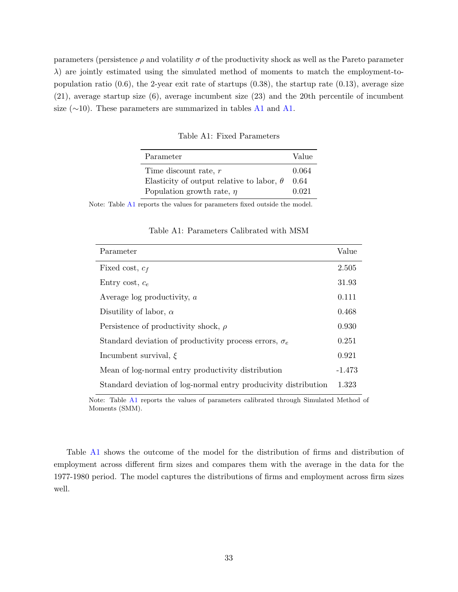<span id="page-33-0"></span>parameters (persistence  $\rho$  and volatility  $\sigma$  of the productivity shock as well as the Pareto parameter  $\lambda$ ) are jointly estimated using the simulated method of moments to match the employment-topopulation ratio  $(0.6)$ , the 2-year exit rate of startups  $(0.38)$ , the startup rate  $(0.13)$ , average size (21), average startup size (6), average incumbent size (23) and the 20th percentile of incumbent size ( $\sim$ 10). These parameters are summarized in tables [A1](#page-33-0) and [A1.](#page-33-1)

Table A1: Fixed Parameters

| Parameter                                        | Value |
|--------------------------------------------------|-------|
| Time discount rate, $r$                          | 0.064 |
| Elasticity of output relative to labor, $\theta$ | 0.64  |
| Population growth rate, $\eta$                   | 0.021 |

<span id="page-33-1"></span>Note: Table [A1](#page-33-0) reports the values for parameters fixed outside the model.

| Parameter                                                       | Value    |
|-----------------------------------------------------------------|----------|
| Fixed cost, $c_f$                                               | 2.505    |
| Entry cost, $c_e$                                               | 31.93    |
| Average log productivity, a                                     | 0.111    |
| Disutility of labor, $\alpha$                                   | 0.468    |
| Persistence of productivity shock, $\rho$                       | 0.930    |
| Standard deviation of productivity process errors, $\sigma_e$   | 0.251    |
| Incumbent survival, $\xi$                                       | 0.921    |
| Mean of log-normal entry productivity distribution              | $-1.473$ |
| Standard deviation of log-normal entry producivity distribution | 1.323    |

Table A1: Parameters Calibrated with MSM

Note: Table [A1](#page-33-1) reports the values of parameters calibrated through Simulated Method of Moments (SMM).

Table [A1](#page-34-0) shows the outcome of the model for the distribution of firms and distribution of employment across different firm sizes and compares them with the average in the data for the 1977-1980 period. The model captures the distributions of firms and employment across firm sizes well.